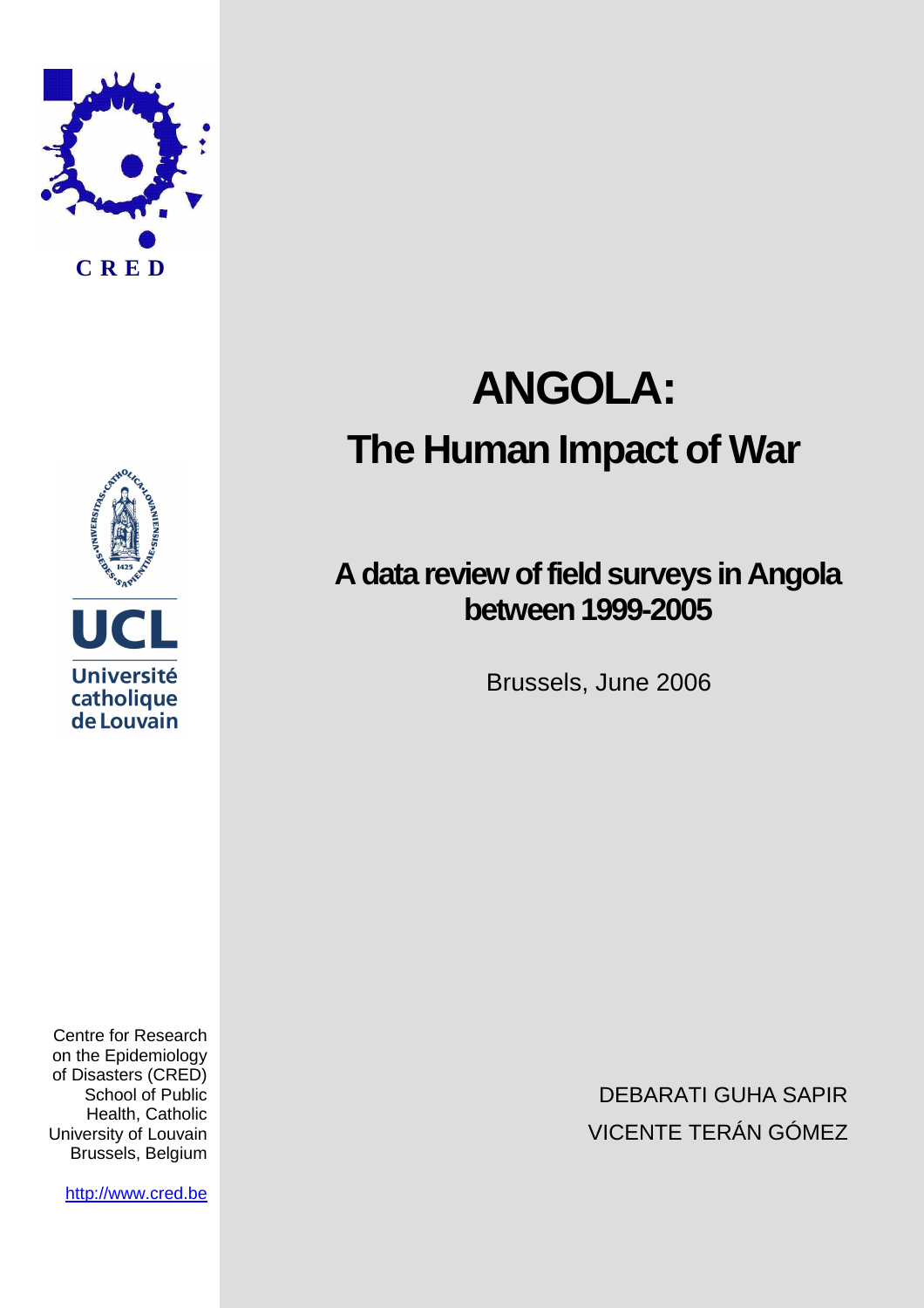



Centre for Research on the Epidemiology of Disasters (CRED) School of Public Health, Catholic University of Louvain Brussels, Belgium

http://www.cred.be

# **ANGOLA: The Human Impact of War**

# **A data review of field surveys in Angola between 1999-2005**

Brussels, June 2006

DEBARATI GUHA SAPIR VICENTE TERÁN GÓMEZ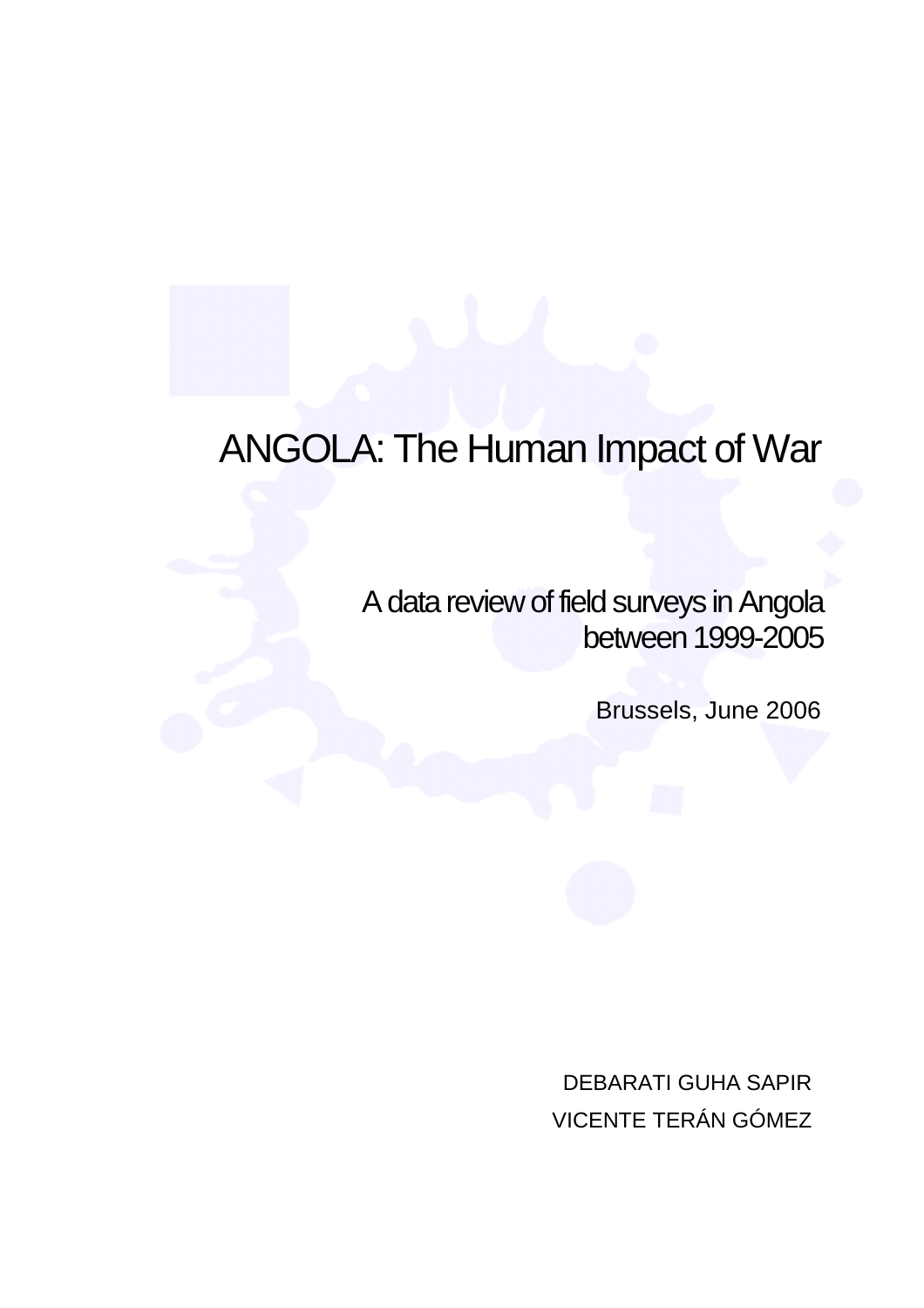# ANGOLA: The Human Impact of War

A data review of field surveys in Angola between 1999-2005

Brussels, June 2006

DEBARATI GUHA SAPIR VICENTE TERÁN GÓMEZ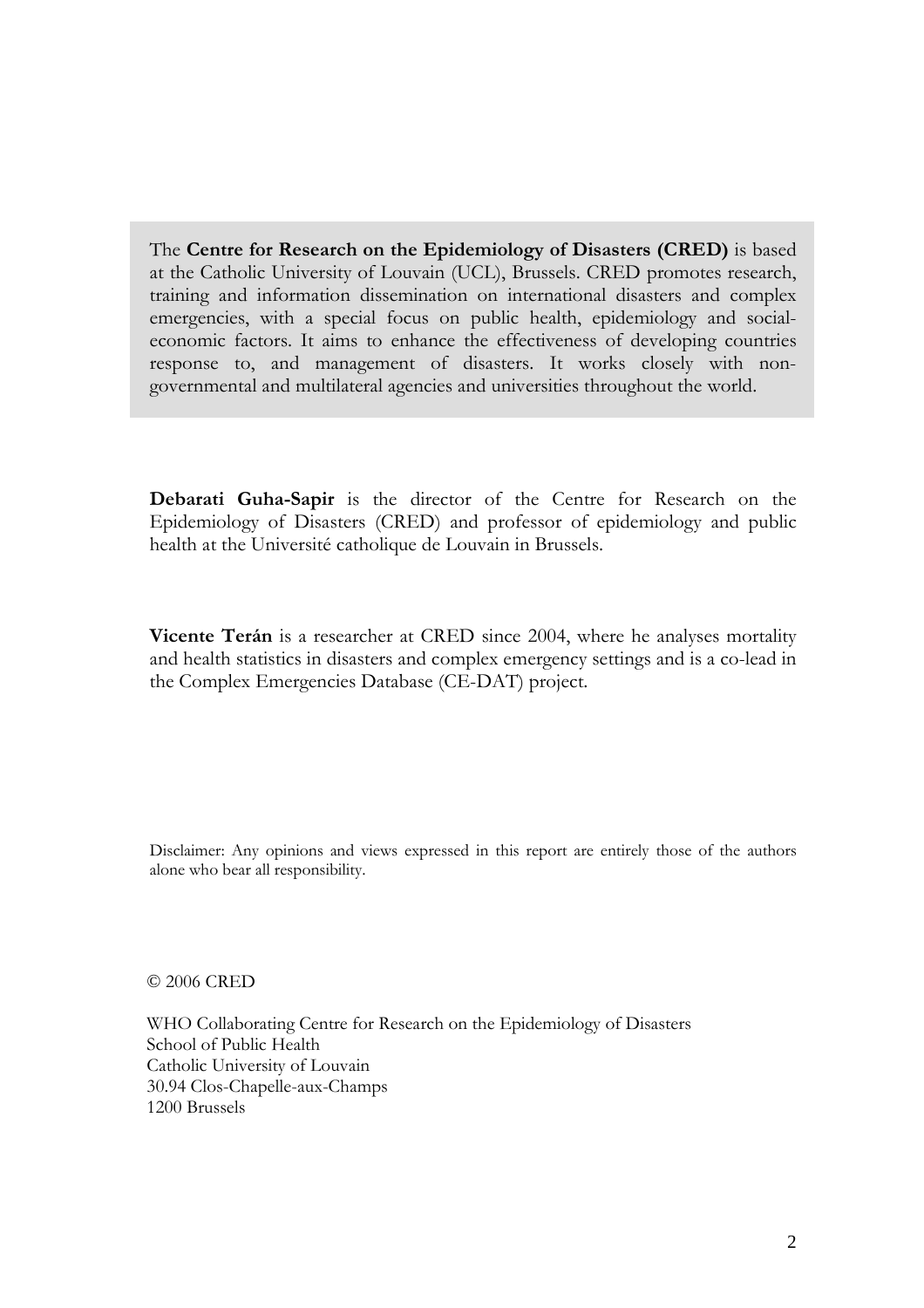The Centre for Research on the Epidemiology of Disasters (CRED) is based at the Catholic University of Louvain (UCL), Brussels. CRED promotes research, training and information dissemination on international disasters and complex emergencies, with a special focus on public health, epidemiology and socialeconomic factors. It aims to enhance the effectiveness of developing countries response to, and management of disasters. It works closely with nongovernmental and multilateral agencies and universities throughout the world.

Debarati Guha-Sapir is the director of the Centre for Research on the Epidemiology of Disasters (CRED) and professor of epidemiology and public health at the Université catholique de Louvain in Brussels.

Vicente Terán is a researcher at CRED since 2004, where he analyses mortality and health statistics in disasters and complex emergency settings and is a co-lead in the Complex Emergencies Database (CE-DAT) project.

Disclaimer: Any opinions and views expressed in this report are entirely those of the authors alone who bear all responsibility.

© 2006 CRED

WHO Collaborating Centre for Research on the Epidemiology of Disasters School of Public Health Catholic University of Louvain 30.94 Clos-Chapelle-aux-Champs 1200 Brussels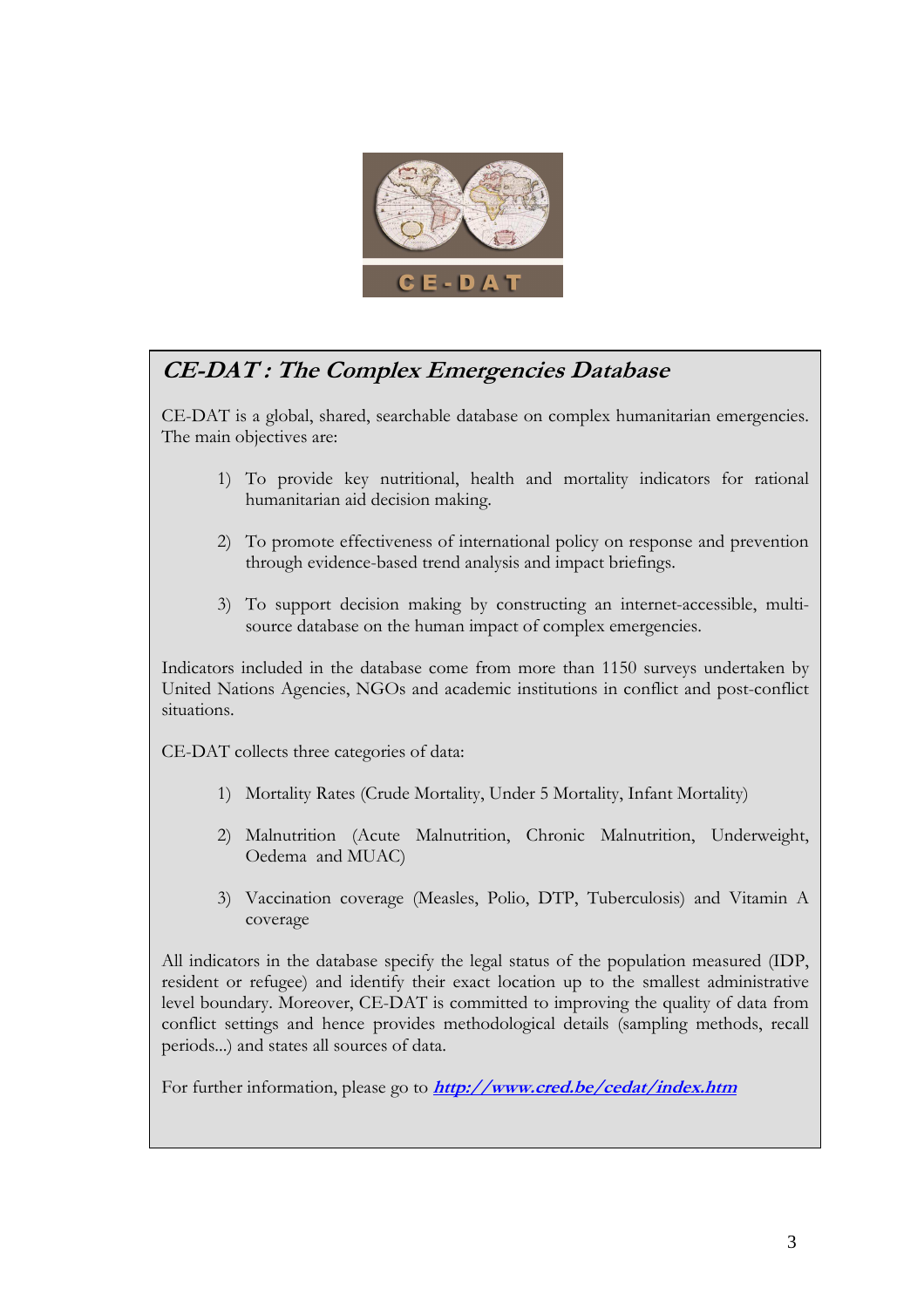

# CE-DAT : The Complex Emergencies Database

CE-DAT is a global, shared, searchable database on complex humanitarian emergencies. The main objectives are:

- 1) To provide key nutritional, health and mortality indicators for rational humanitarian aid decision making.
- 2) To promote effectiveness of international policy on response and prevention through evidence-based trend analysis and impact briefings.
- 3) To support decision making by constructing an internet-accessible, multisource database on the human impact of complex emergencies.

Indicators included in the database come from more than 1150 surveys undertaken by United Nations Agencies, NGOs and academic institutions in conflict and post-conflict situations.

CE-DAT collects three categories of data:

- 1) Mortality Rates (Crude Mortality, Under 5 Mortality, Infant Mortality)
- 2) Malnutrition (Acute Malnutrition, Chronic Malnutrition, Underweight, Oedema and MUAC)
- 3) Vaccination coverage (Measles, Polio, DTP, Tuberculosis) and Vitamin A coverage

All indicators in the database specify the legal status of the population measured (IDP, resident or refugee) and identify their exact location up to the smallest administrative level boundary. Moreover, CE-DAT is committed to improving the quality of data from conflict settings and hence provides methodological details (sampling methods, recall periods...) and states all sources of data.

For further information, please go to **http://www.cred.be/cedat/index.htm**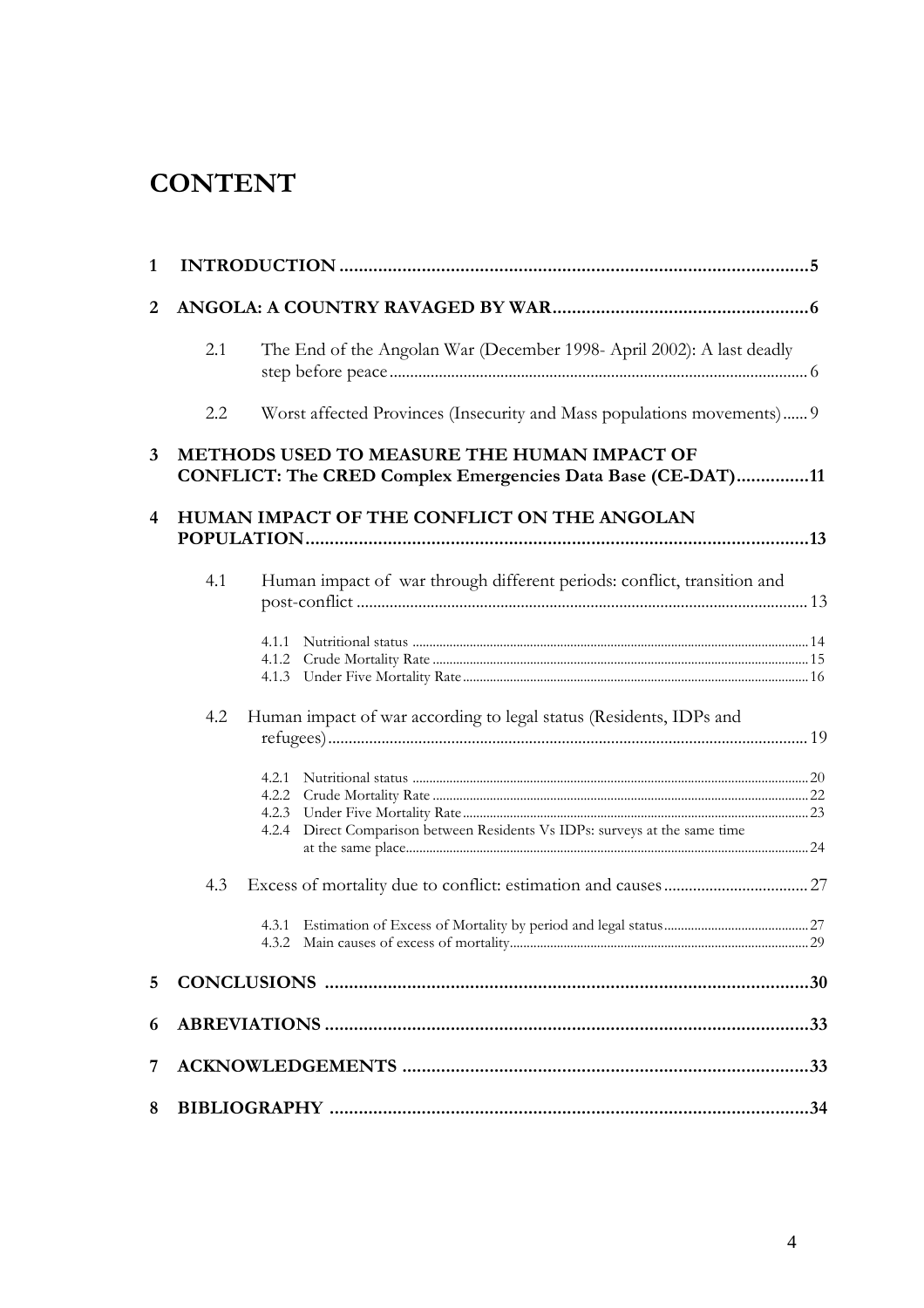# **CONTENT**

| 1               |                                                                                                                   |                                                                                                    |  |  |  |
|-----------------|-------------------------------------------------------------------------------------------------------------------|----------------------------------------------------------------------------------------------------|--|--|--|
| 2               |                                                                                                                   |                                                                                                    |  |  |  |
|                 | 2.1                                                                                                               | The End of the Angolan War (December 1998- April 2002): A last deadly                              |  |  |  |
|                 | 2.2                                                                                                               | Worst affected Provinces (Insecurity and Mass populations movements) 9                             |  |  |  |
| $\mathbf{3}$    | <b>METHODS USED TO MEASURE THE HUMAN IMPACT OF</b><br>CONFLICT: The CRED Complex Emergencies Data Base (CE-DAT)11 |                                                                                                    |  |  |  |
| 4               | HUMAN IMPACT OF THE CONFLICT ON THE ANGOLAN                                                                       |                                                                                                    |  |  |  |
|                 | 4.1                                                                                                               | Human impact of war through different periods: conflict, transition and<br>4.1.1<br>4.1.2<br>4.1.3 |  |  |  |
|                 | 4.2                                                                                                               | Human impact of war according to legal status (Residents, IDPs and<br>4.2.1                        |  |  |  |
|                 |                                                                                                                   | Direct Comparison between Residents Vs IDPs: surveys at the same time<br>4.2.4                     |  |  |  |
|                 | 4.3                                                                                                               | 29                                                                                                 |  |  |  |
| $5\overline{)}$ |                                                                                                                   |                                                                                                    |  |  |  |
| 6               |                                                                                                                   |                                                                                                    |  |  |  |
| 7               |                                                                                                                   |                                                                                                    |  |  |  |
| 8               |                                                                                                                   |                                                                                                    |  |  |  |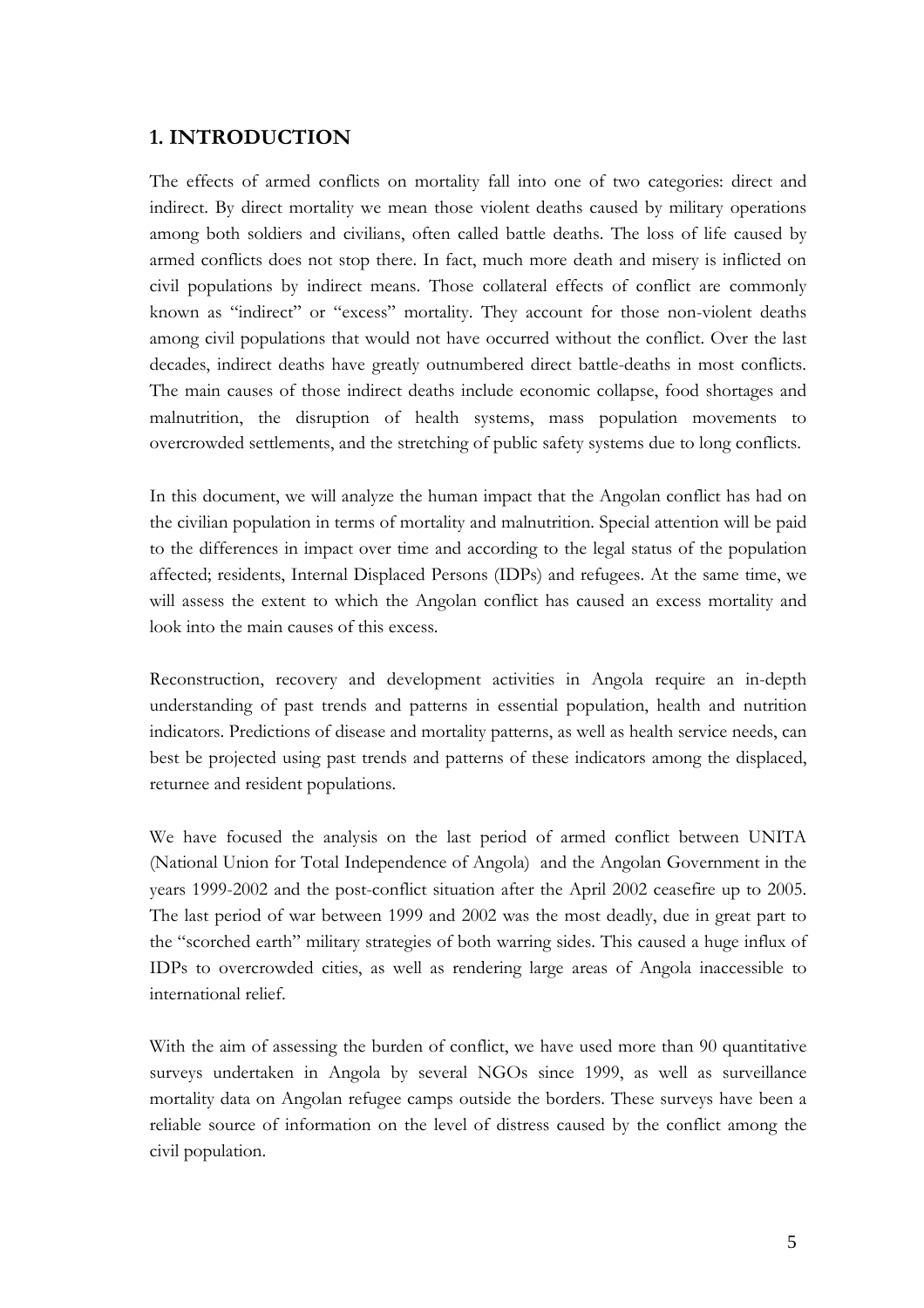#### 1. INTRODUCTION

The effects of armed conflicts on mortality fall into one of two categories: direct and indirect. By direct mortality we mean those violent deaths caused by military operations among both soldiers and civilians, often called battle deaths. The loss of life caused by armed conflicts does not stop there. In fact, much more death and misery is inflicted on civil populations by indirect means. Those collateral effects of conflict are commonly known as "indirect" or "excess" mortality. They account for those non-violent deaths among civil populations that would not have occurred without the conflict. Over the last decades, indirect deaths have greatly outnumbered direct battle-deaths in most conflicts. The main causes of those indirect deaths include economic collapse, food shortages and malnutrition, the disruption of health systems, mass population movements to overcrowded settlements, and the stretching of public safety systems due to long conflicts.

In this document, we will analyze the human impact that the Angolan conflict has had on the civilian population in terms of mortality and malnutrition. Special attention will be paid to the differences in impact over time and according to the legal status of the population affected; residents, Internal Displaced Persons (IDPs) and refugees. At the same time, we will assess the extent to which the Angolan conflict has caused an excess mortality and look into the main causes of this excess.

Reconstruction, recovery and development activities in Angola require an in-depth understanding of past trends and patterns in essential population, health and nutrition indicators. Predictions of disease and mortality patterns, as well as health service needs, can best be projected using past trends and patterns of these indicators among the displaced, returnee and resident populations.

We have focused the analysis on the last period of armed conflict between UNITA (National Union for Total Independence of Angola) and the Angolan Government in the years 1999-2002 and the post-conflict situation after the April 2002 ceasefire up to 2005. The last period of war between 1999 and 2002 was the most deadly, due in great part to the "scorched earth" military strategies of both warring sides. This caused a huge influx of IDPs to overcrowded cities, as well as rendering large areas of Angola inaccessible to international relief.

With the aim of assessing the burden of conflict, we have used more than 90 quantitative surveys undertaken in Angola by several NGOs since 1999, as well as surveillance mortality data on Angolan refugee camps outside the borders. These surveys have been a reliable source of information on the level of distress caused by the conflict among the civil population.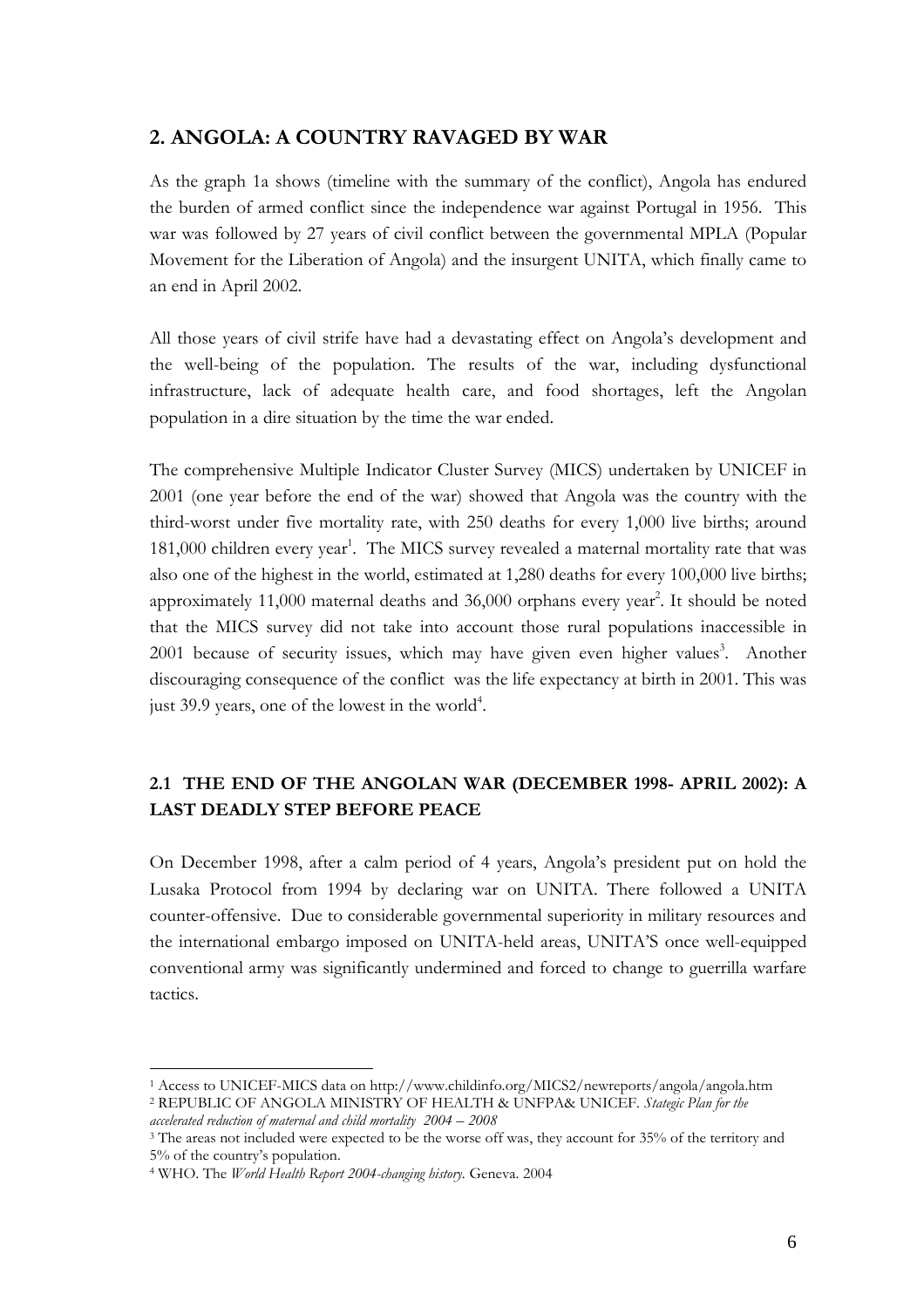### 2. ANGOLA: A COUNTRY RAVAGED BY WAR

As the graph 1a shows (timeline with the summary of the conflict), Angola has endured the burden of armed conflict since the independence war against Portugal in 1956. This war was followed by 27 years of civil conflict between the governmental MPLA (Popular Movement for the Liberation of Angola) and the insurgent UNITA, which finally came to an end in April 2002.

All those years of civil strife have had a devastating effect on Angola's development and the well-being of the population. The results of the war, including dysfunctional infrastructure, lack of adequate health care, and food shortages, left the Angolan population in a dire situation by the time the war ended.

The comprehensive Multiple Indicator Cluster Survey (MICS) undertaken by UNICEF in 2001 (one year before the end of the war) showed that Angola was the country with the third-worst under five mortality rate, with 250 deaths for every 1,000 live births; around 181,000 children every year<sup>1</sup>. The MICS survey revealed a maternal mortality rate that was also one of the highest in the world, estimated at 1,280 deaths for every 100,000 live births; approximately 11,000 maternal deaths and  $36,000$  orphans every year<sup>2</sup>. It should be noted that the MICS survey did not take into account those rural populations inaccessible in 2001 because of security issues, which may have given even higher values<sup>3</sup>. Another discouraging consequence of the conflict was the life expectancy at birth in 2001. This was just 39.9 years, one of the lowest in the world<sup>4</sup>.

# 2.1 THE END OF THE ANGOLAN WAR (DECEMBER 1998- APRIL 2002): A LAST DEADLY STEP BEFORE PEACE

On December 1998, after a calm period of 4 years, Angola's president put on hold the Lusaka Protocol from 1994 by declaring war on UNITA. There followed a UNITA counter-offensive. Due to considerable governmental superiority in military resources and the international embargo imposed on UNITA-held areas, UNITA'S once well-equipped conventional army was significantly undermined and forced to change to guerrilla warfare tactics.

<sup>1</sup> Access to UNICEF-MICS data on http://www.childinfo.org/MICS2/newreports/angola/angola.htm <sup>2</sup> REPUBLIC OF ANGOLA MINISTRY OF HEALTH & UNFPA& UNICEF. Stategic Plan for the accelerated reduction of maternal and child mortality 2004 – 2008

<sup>&</sup>lt;sup>3</sup> The areas not included were expected to be the worse off was, they account for 35% of the territory and 5% of the country's population.

<sup>&</sup>lt;sup>4</sup> WHO. The *World Health Report 2004-changing history*. Geneva. 2004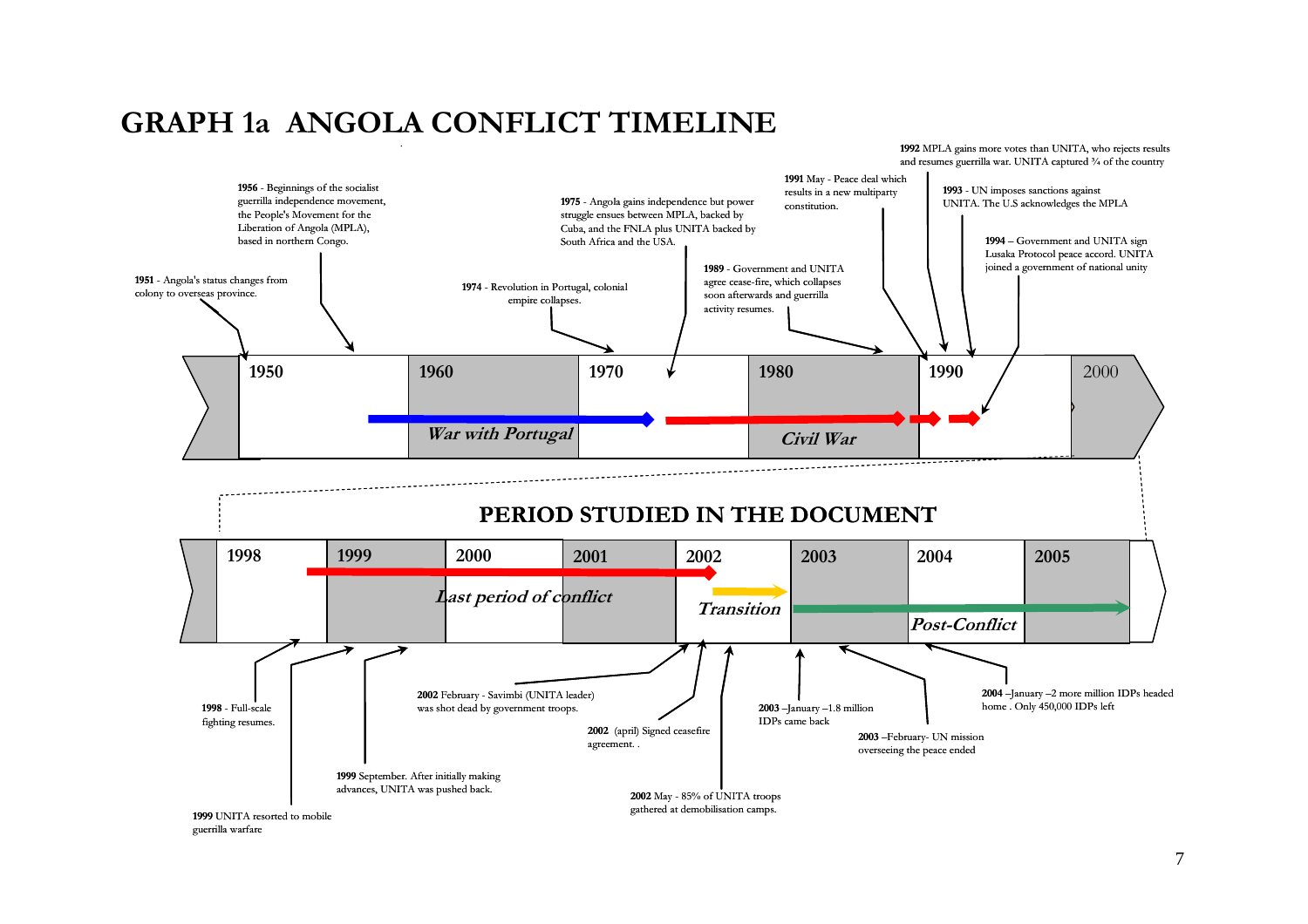# GRAPH 1a ANGOLA CONFLICT TIMELINE

.



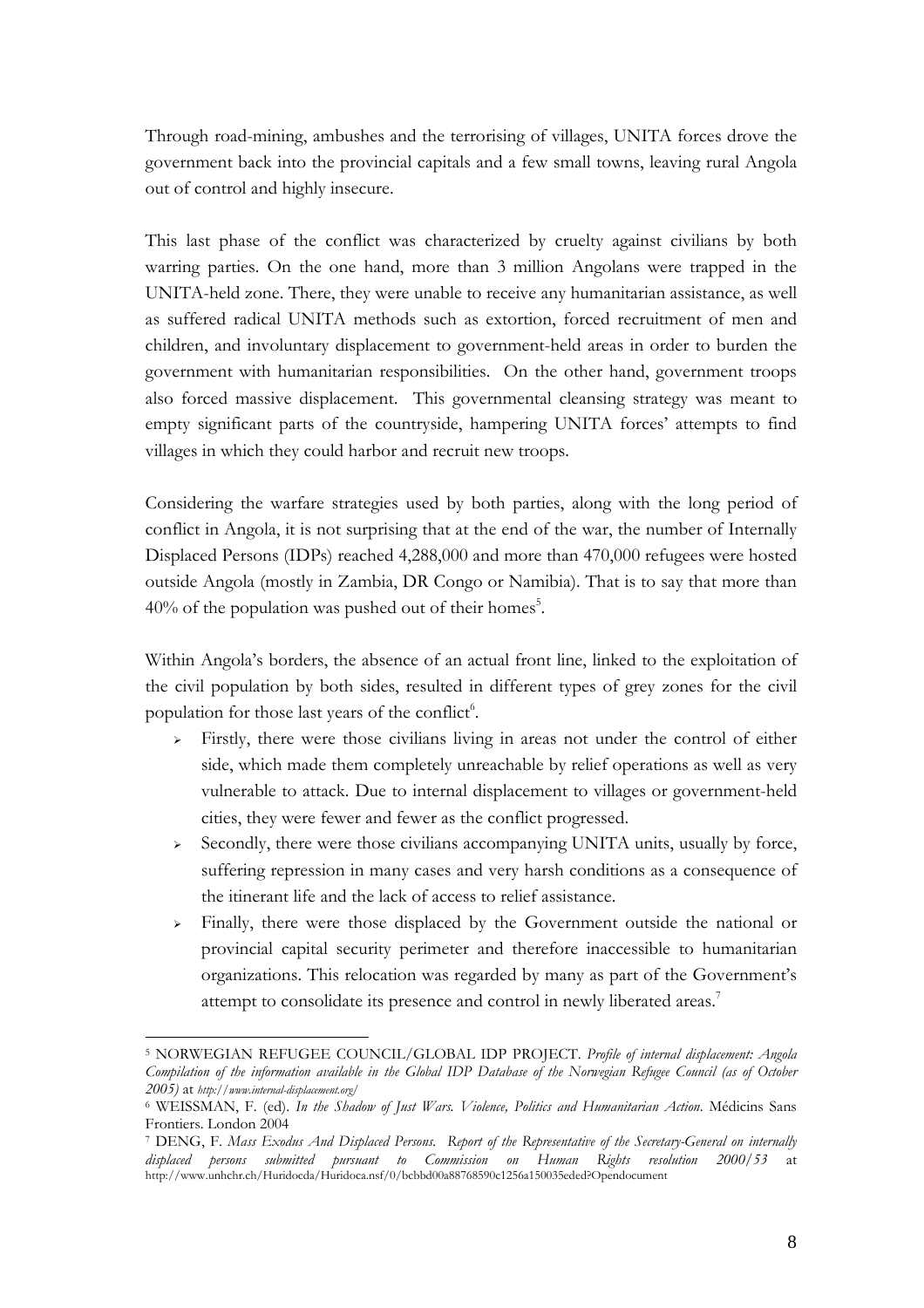Through road-mining, ambushes and the terrorising of villages, UNITA forces drove the government back into the provincial capitals and a few small towns, leaving rural Angola out of control and highly insecure.

This last phase of the conflict was characterized by cruelty against civilians by both warring parties. On the one hand, more than 3 million Angolans were trapped in the UNITA-held zone. There, they were unable to receive any humanitarian assistance, as well as suffered radical UNITA methods such as extortion, forced recruitment of men and children, and involuntary displacement to government-held areas in order to burden the government with humanitarian responsibilities. On the other hand, government troops also forced massive displacement. This governmental cleansing strategy was meant to empty significant parts of the countryside, hampering UNITA forces' attempts to find villages in which they could harbor and recruit new troops.

Considering the warfare strategies used by both parties, along with the long period of conflict in Angola, it is not surprising that at the end of the war, the number of Internally Displaced Persons (IDPs) reached 4,288,000 and more than 470,000 refugees were hosted outside Angola (mostly in Zambia, DR Congo or Namibia). That is to say that more than  $40\%$  of the population was pushed out of their homes<sup>5</sup>.

Within Angola's borders, the absence of an actual front line, linked to the exploitation of the civil population by both sides, resulted in different types of grey zones for the civil population for those last years of the conflict<sup>6</sup>.

- $\triangleright$  Firstly, there were those civilians living in areas not under the control of either side, which made them completely unreachable by relief operations as well as very vulnerable to attack. Due to internal displacement to villages or government-held cities, they were fewer and fewer as the conflict progressed.
- $\triangleright$  Secondly, there were those civilians accompanying UNITA units, usually by force, suffering repression in many cases and very harsh conditions as a consequence of the itinerant life and the lack of access to relief assistance.
- Finally, there were those displaced by the Government outside the national or provincial capital security perimeter and therefore inaccessible to humanitarian organizations. This relocation was regarded by many as part of the Government's attempt to consolidate its presence and control in newly liberated areas.<sup>7</sup>

<sup>&</sup>lt;sup>5</sup> NORWEGIAN REFUGEE COUNCIL/GLOBAL IDP PROJECT. Profile of internal displacement: Angola Compilation of the information available in the Global IDP Database of the Norwegian Refugee Council (as of October 2005) at http://www.internal-displacement.org/

<sup>&</sup>lt;sup>6</sup> WEISSMAN, F. (ed). In the Shadow of Just Wars. Violence, Politics and Humanitarian Action. Médicins Sans Frontiers. London 2004

<sup>7</sup> DENG, F. Mass Exodus And Displaced Persons. Report of the Representative of the Secretary-General on internally displaced persons submitted pursuant to Commission on Human Rights resolution 2000/53 at http://www.unhchr.ch/Huridocda/Huridoca.nsf/0/bcbbd00a88768590c1256a150035eded?Opendocument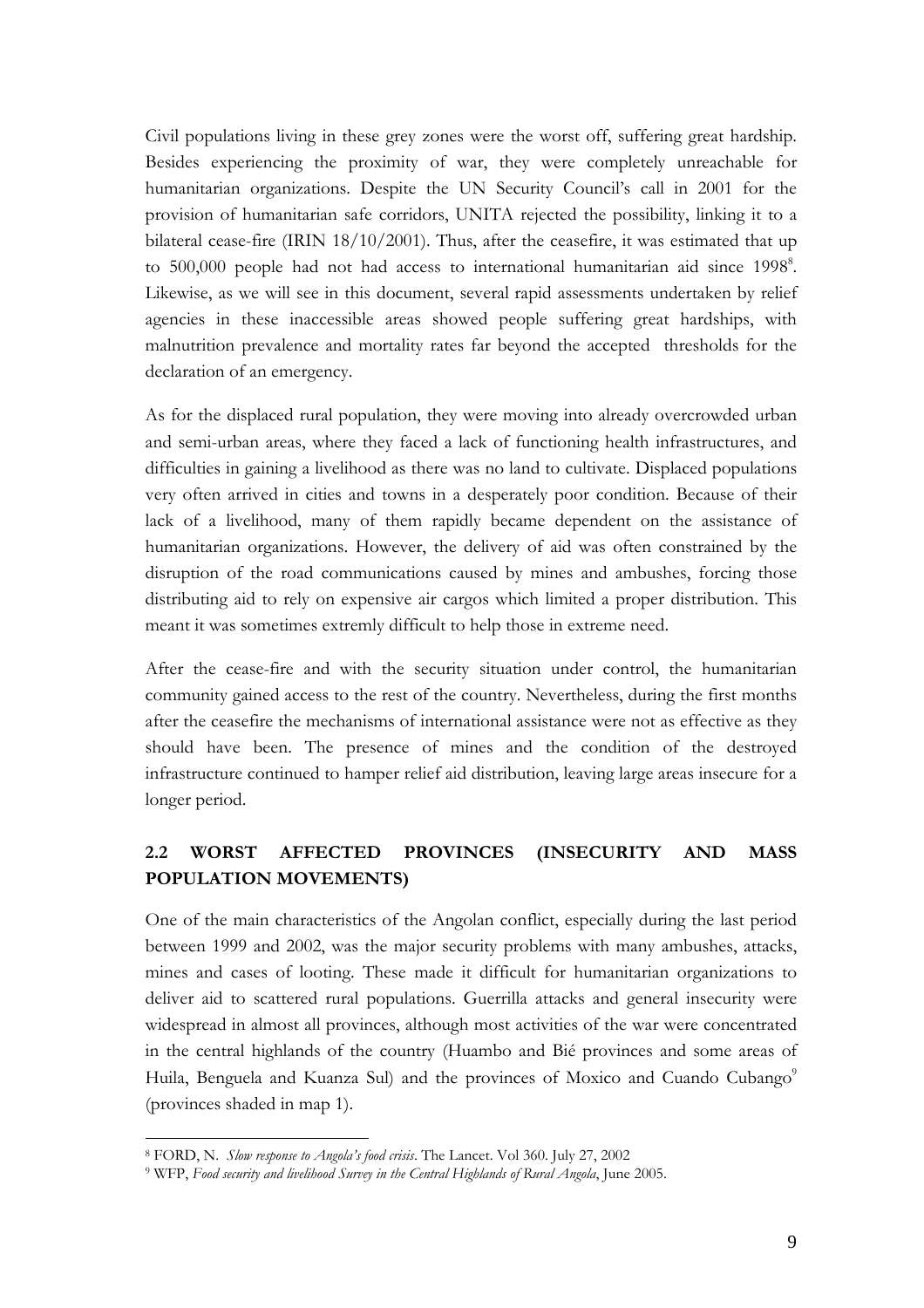Civil populations living in these grey zones were the worst off, suffering great hardship. Besides experiencing the proximity of war, they were completely unreachable for humanitarian organizations. Despite the UN Security Council's call in 2001 for the provision of humanitarian safe corridors, UNITA rejected the possibility, linking it to a bilateral cease-fire (IRIN 18/10/2001). Thus, after the ceasefire, it was estimated that up to 500,000 people had not had access to international humanitarian aid since 1998<sup>8</sup>. Likewise, as we will see in this document, several rapid assessments undertaken by relief agencies in these inaccessible areas showed people suffering great hardships, with malnutrition prevalence and mortality rates far beyond the accepted thresholds for the declaration of an emergency.

As for the displaced rural population, they were moving into already overcrowded urban and semi-urban areas, where they faced a lack of functioning health infrastructures, and difficulties in gaining a livelihood as there was no land to cultivate. Displaced populations very often arrived in cities and towns in a desperately poor condition. Because of their lack of a livelihood, many of them rapidly became dependent on the assistance of humanitarian organizations. However, the delivery of aid was often constrained by the disruption of the road communications caused by mines and ambushes, forcing those distributing aid to rely on expensive air cargos which limited a proper distribution. This meant it was sometimes extremly difficult to help those in extreme need.

After the cease-fire and with the security situation under control, the humanitarian community gained access to the rest of the country. Nevertheless, during the first months after the ceasefire the mechanisms of international assistance were not as effective as they should have been. The presence of mines and the condition of the destroyed infrastructure continued to hamper relief aid distribution, leaving large areas insecure for a longer period.

# 2.2 WORST AFFECTED PROVINCES (INSECURITY AND MASS POPULATION MOVEMENTS)

One of the main characteristics of the Angolan conflict, especially during the last period between 1999 and 2002, was the major security problems with many ambushes, attacks, mines and cases of looting. These made it difficult for humanitarian organizations to deliver aid to scattered rural populations. Guerrilla attacks and general insecurity were widespread in almost all provinces, although most activities of the war were concentrated in the central highlands of the country (Huambo and Bié provinces and some areas of Huila, Benguela and Kuanza Sul) and the provinces of Moxico and Cuando Cubango<sup>9</sup> (provinces shaded in map 1).

<sup>&</sup>lt;sup>8</sup> FORD, N. Slow response to Angola's food crisis. The Lancet. Vol 360. July 27, 2002

<sup>&</sup>lt;sup>9</sup> WFP, Food security and livelihood Survey in the Central Highlands of Rural Angola, June 2005.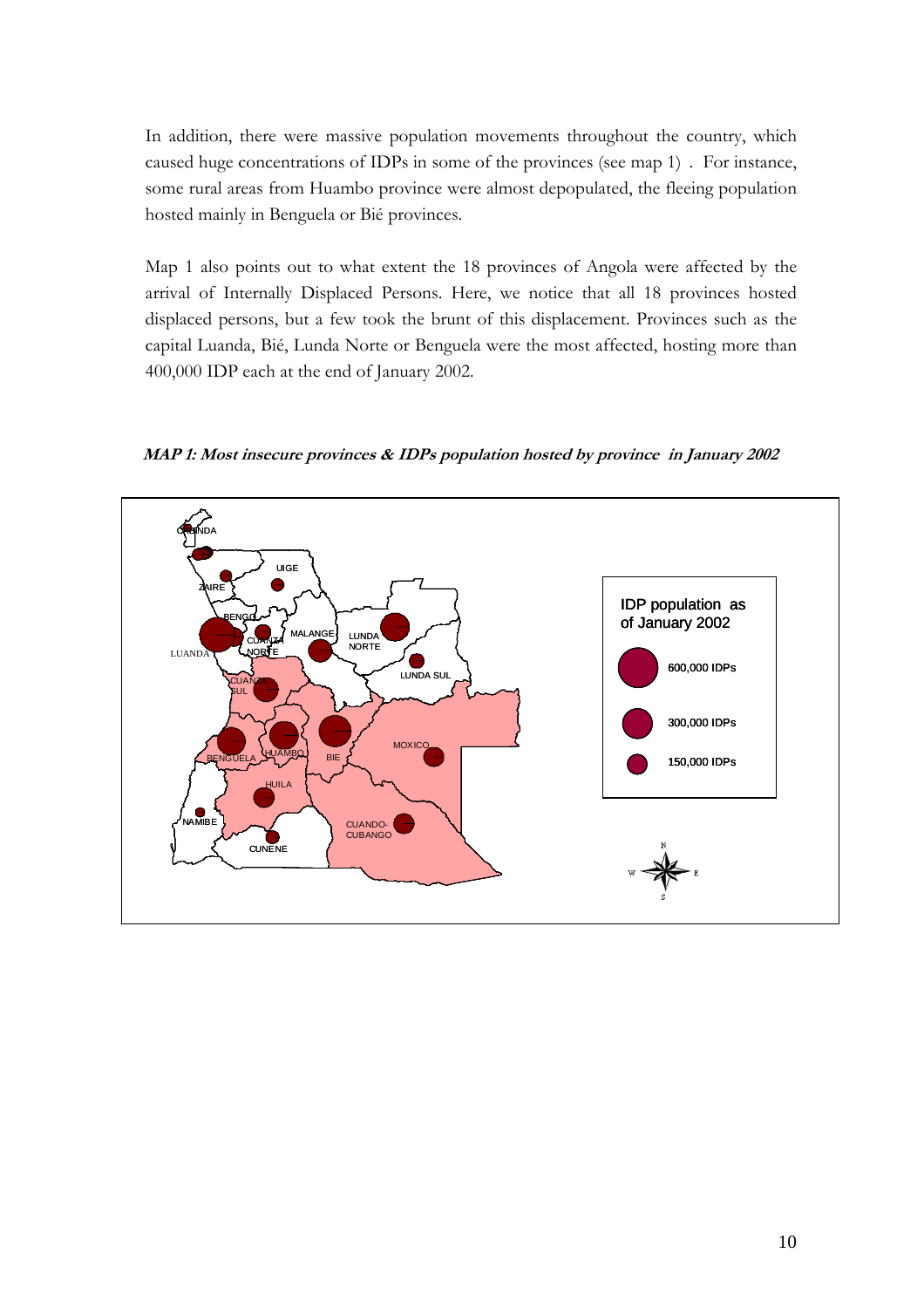In addition, there were massive population movements throughout the country, which caused huge concentrations of IDPs in some of the provinces (see map 1) . For instance, some rural areas from Huambo province were almost depopulated, the fleeing population hosted mainly in Benguela or Bié provinces.

Map 1 also points out to what extent the 18 provinces of Angola were affected by the arrival of Internally Displaced Persons. Here, we notice that all 18 provinces hosted displaced persons, but a few took the brunt of this displacement. Provinces such as the capital Luanda, Bié, Lunda Norte or Benguela were the most affected, hosting more than 400,000 IDP each at the end of January 2002.

MAP 1: Most insecure provinces & IDPs population hosted by province in January 2002

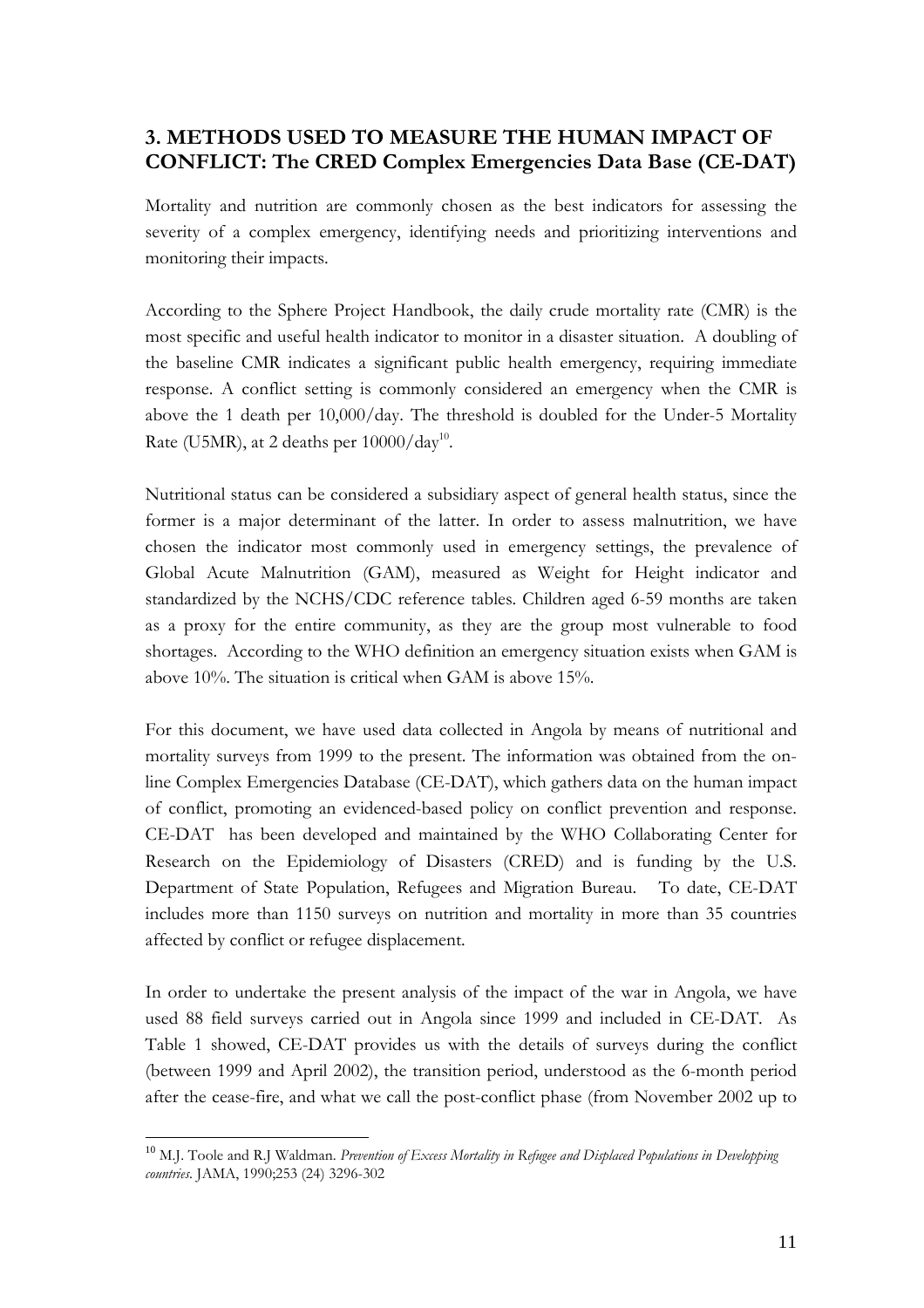## 3. METHODS USED TO MEASURE THE HUMAN IMPACT OF CONFLICT: The CRED Complex Emergencies Data Base (CE-DAT)

Mortality and nutrition are commonly chosen as the best indicators for assessing the severity of a complex emergency, identifying needs and prioritizing interventions and monitoring their impacts.

According to the Sphere Project Handbook, the daily crude mortality rate (CMR) is the most specific and useful health indicator to monitor in a disaster situation. A doubling of the baseline CMR indicates a significant public health emergency, requiring immediate response. A conflict setting is commonly considered an emergency when the CMR is above the 1 death per 10,000/day. The threshold is doubled for the Under-5 Mortality Rate (U5MR), at 2 deaths per  $10000/\text{day}^{10}$ .

Nutritional status can be considered a subsidiary aspect of general health status, since the former is a major determinant of the latter. In order to assess malnutrition, we have chosen the indicator most commonly used in emergency settings, the prevalence of Global Acute Malnutrition (GAM), measured as Weight for Height indicator and standardized by the NCHS/CDC reference tables. Children aged 6-59 months are taken as a proxy for the entire community, as they are the group most vulnerable to food shortages. According to the WHO definition an emergency situation exists when GAM is above 10%. The situation is critical when GAM is above 15%.

For this document, we have used data collected in Angola by means of nutritional and mortality surveys from 1999 to the present. The information was obtained from the online Complex Emergencies Database (CE-DAT), which gathers data on the human impact of conflict, promoting an evidenced-based policy on conflict prevention and response. CE-DAT has been developed and maintained by the WHO Collaborating Center for Research on the Epidemiology of Disasters (CRED) and is funding by the U.S. Department of State Population, Refugees and Migration Bureau. To date, CE-DAT includes more than 1150 surveys on nutrition and mortality in more than 35 countries affected by conflict or refugee displacement.

In order to undertake the present analysis of the impact of the war in Angola, we have used 88 field surveys carried out in Angola since 1999 and included in CE-DAT. As Table 1 showed, CE-DAT provides us with the details of surveys during the conflict (between 1999 and April 2002), the transition period, understood as the 6-month period after the cease-fire, and what we call the post-conflict phase (from November 2002 up to

 $10$  M.J. Toole and R.J Waldman. Prevention of Excess Mortality in Refugee and Displaced Populations in Developping countries. JAMA, 1990;253 (24) 3296-302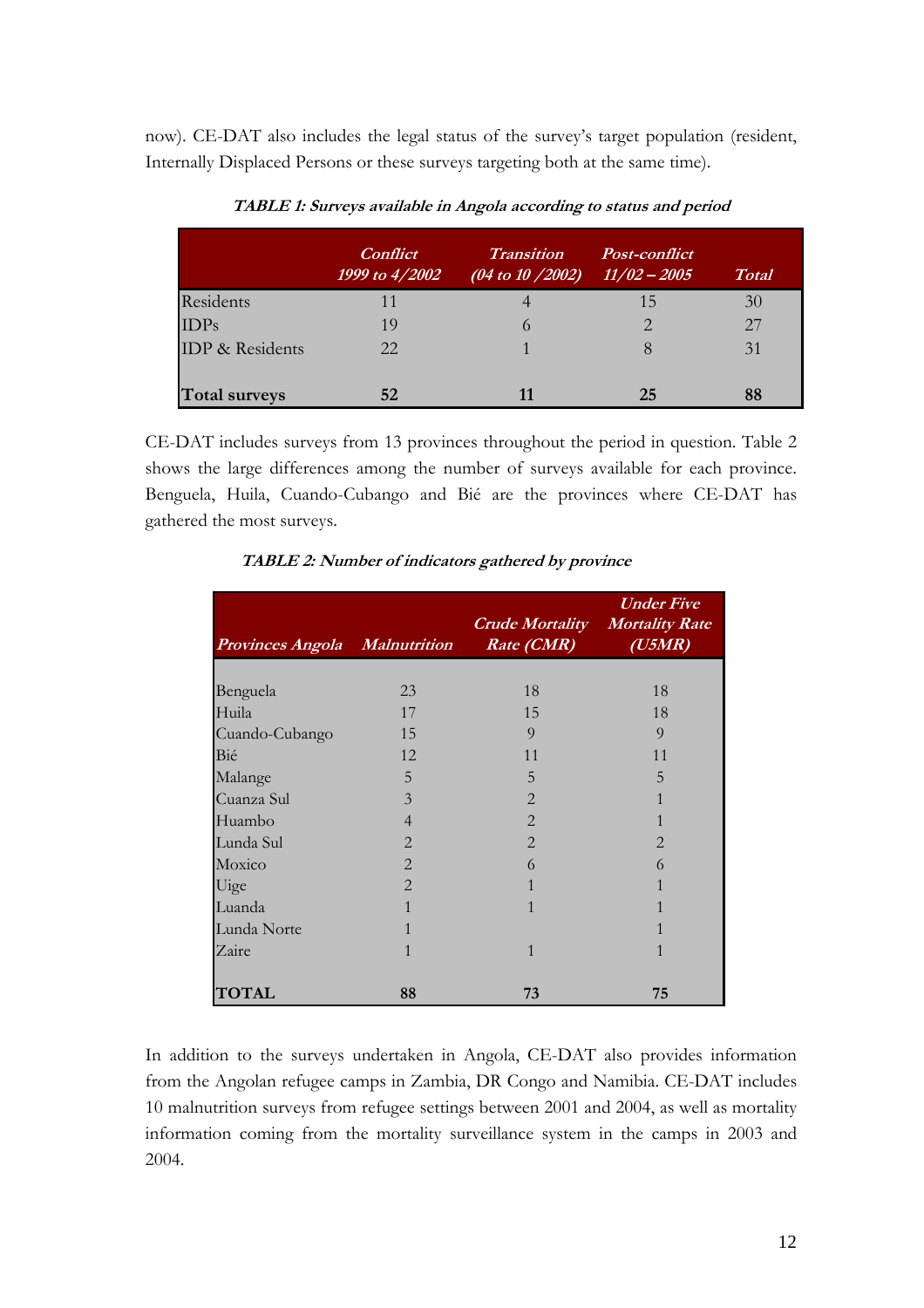now). CE-DAT also includes the legal status of the survey's target population (resident, Internally Displaced Persons or these surveys targeting both at the same time).

|                        | <i>Conflict</i><br>1999 to 4/2002 | <b>Transition</b><br>$(04 \text{ to } 10 \text{ / } 2002)$ | <i>Post-conflict</i><br>$\frac{11}{02} - \frac{2005}{5}$ | <b>Total</b> |
|------------------------|-----------------------------------|------------------------------------------------------------|----------------------------------------------------------|--------------|
| Residents              | 11                                |                                                            | 15                                                       | 30           |
| IDPs                   | 19                                |                                                            | ⌒                                                        | 27           |
| <b>IDP</b> & Residents | 22.                               |                                                            | 8                                                        | 31           |
| <b>Total surveys</b>   | 52                                |                                                            | 25                                                       | 88           |

TABLE 1: Surveys available in Angola according to status and period

CE-DAT includes surveys from 13 provinces throughout the period in question. Table 2 shows the large differences among the number of surveys available for each province. Benguela, Huila, Cuando-Cubango and Bié are the provinces where CE-DAT has gathered the most surveys.

| Provinces Angola Malnutrition |                | <b>Crude Mortality Mortality Rate</b><br>Rate (CMR) | <b><i>Under Five</i></b><br>$(U5\overline{MR})$ |
|-------------------------------|----------------|-----------------------------------------------------|-------------------------------------------------|
|                               |                |                                                     |                                                 |
| Benguela                      | 23             | 18                                                  | 18                                              |
| Huila                         | 17             | 15                                                  | 18                                              |
| Cuando-Cubango                | 15             | 9                                                   | 9                                               |
| Bié                           | 12             | 11                                                  | 11                                              |
| Malange                       | 5              | 5                                                   | 5                                               |
| Cuanza Sul                    | $\overline{3}$ | $\overline{2}$                                      |                                                 |
| Huambo                        | $\overline{4}$ | $\overline{2}$                                      |                                                 |
| Lunda Sul                     | $\overline{2}$ | $\overline{2}$                                      | $\overline{2}$                                  |
| Moxico                        | $\overline{2}$ | 6                                                   | 6                                               |
| Uige                          | $\mathfrak{D}$ | 1                                                   |                                                 |
| Luanda                        | 1              | 1                                                   |                                                 |
| Lunda Norte                   | 1              |                                                     |                                                 |
| Zaire                         | 1              | $\mathbf{1}$                                        | 1                                               |
| <b>TOTAL</b>                  | 88             | 73                                                  | 75                                              |

TABLE 2: Number of indicators gathered by province

In addition to the surveys undertaken in Angola, CE-DAT also provides information from the Angolan refugee camps in Zambia, DR Congo and Namibia. CE-DAT includes 10 malnutrition surveys from refugee settings between 2001 and 2004, as well as mortality information coming from the mortality surveillance system in the camps in 2003 and 2004.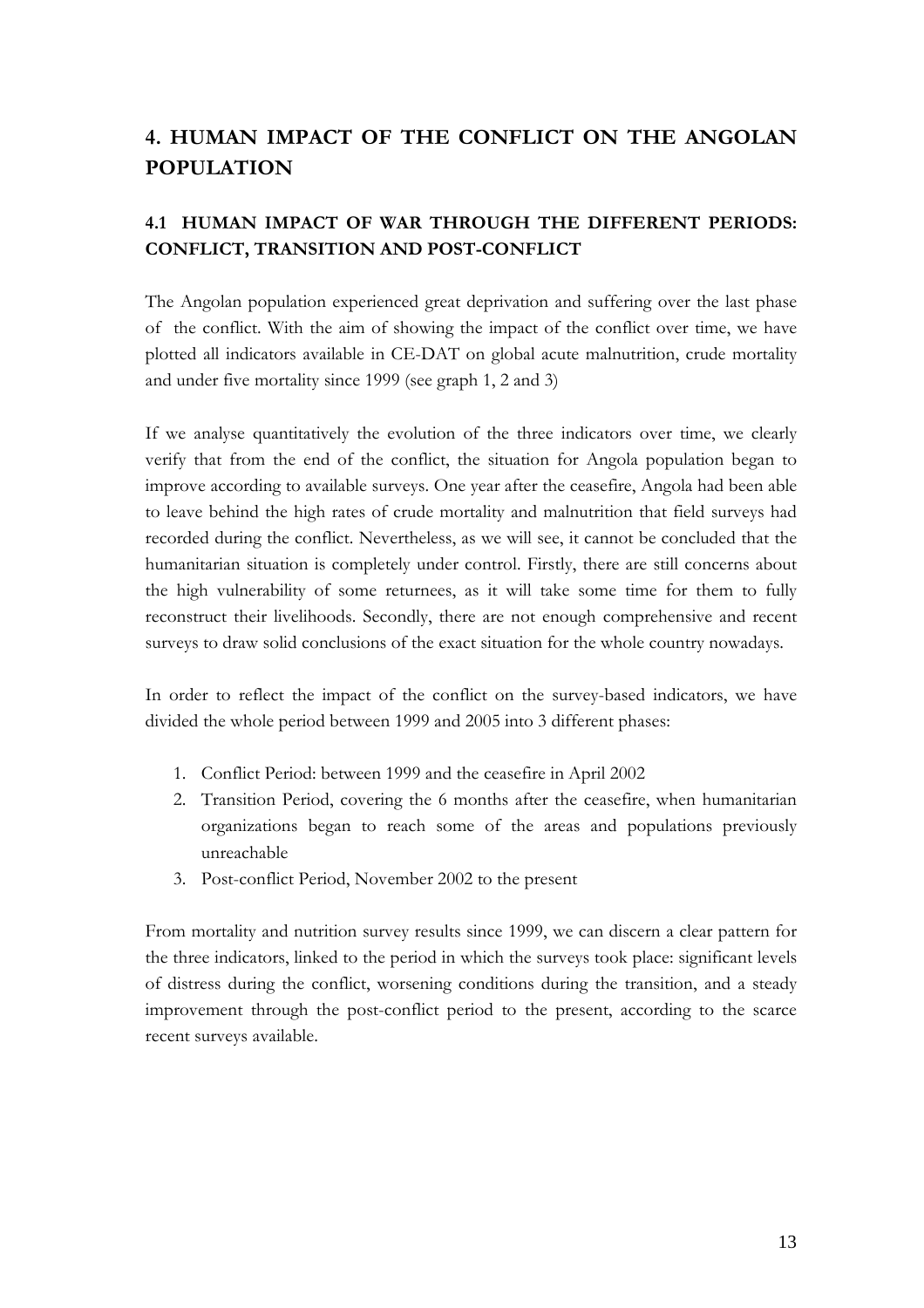# 4. HUMAN IMPACT OF THE CONFLICT ON THE ANGOLAN POPULATION

## 4.1 HUMAN IMPACT OF WAR THROUGH THE DIFFERENT PERIODS: CONFLICT, TRANSITION AND POST-CONFLICT

The Angolan population experienced great deprivation and suffering over the last phase of the conflict. With the aim of showing the impact of the conflict over time, we have plotted all indicators available in CE-DAT on global acute malnutrition, crude mortality and under five mortality since 1999 (see graph 1, 2 and 3)

If we analyse quantitatively the evolution of the three indicators over time, we clearly verify that from the end of the conflict, the situation for Angola population began to improve according to available surveys. One year after the ceasefire, Angola had been able to leave behind the high rates of crude mortality and malnutrition that field surveys had recorded during the conflict. Nevertheless, as we will see, it cannot be concluded that the humanitarian situation is completely under control. Firstly, there are still concerns about the high vulnerability of some returnees, as it will take some time for them to fully reconstruct their livelihoods. Secondly, there are not enough comprehensive and recent surveys to draw solid conclusions of the exact situation for the whole country nowadays.

In order to reflect the impact of the conflict on the survey-based indicators, we have divided the whole period between 1999 and 2005 into 3 different phases:

- 1. Conflict Period: between 1999 and the ceasefire in April 2002
- 2. Transition Period, covering the 6 months after the ceasefire, when humanitarian organizations began to reach some of the areas and populations previously unreachable
- 3. Post-conflict Period, November 2002 to the present

From mortality and nutrition survey results since 1999, we can discern a clear pattern for the three indicators, linked to the period in which the surveys took place: significant levels of distress during the conflict, worsening conditions during the transition, and a steady improvement through the post-conflict period to the present, according to the scarce recent surveys available.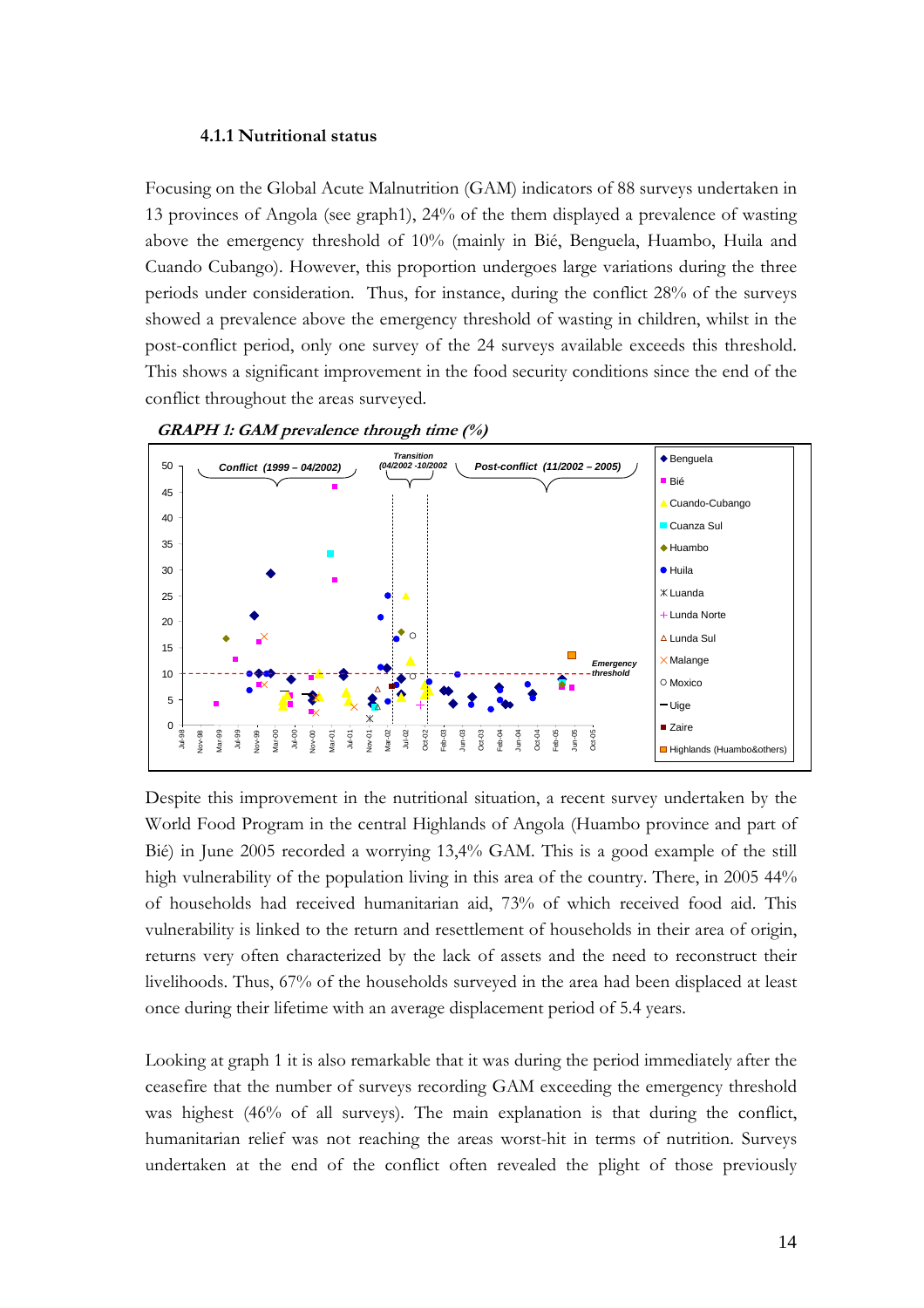#### 4.1.1 Nutritional status

Focusing on the Global Acute Malnutrition (GAM) indicators of 88 surveys undertaken in 13 provinces of Angola (see graph1), 24% of the them displayed a prevalence of wasting above the emergency threshold of 10% (mainly in Bié, Benguela, Huambo, Huila and Cuando Cubango). However, this proportion undergoes large variations during the three periods under consideration. Thus, for instance, during the conflict 28% of the surveys showed a prevalence above the emergency threshold of wasting in children, whilst in the post-conflict period, only one survey of the 24 surveys available exceeds this threshold. This shows a significant improvement in the food security conditions since the end of the conflict throughout the areas surveyed.





Despite this improvement in the nutritional situation, a recent survey undertaken by the World Food Program in the central Highlands of Angola (Huambo province and part of Bié) in June 2005 recorded a worrying 13,4% GAM. This is a good example of the still high vulnerability of the population living in this area of the country. There, in 2005 44% of households had received humanitarian aid, 73% of which received food aid. This vulnerability is linked to the return and resettlement of households in their area of origin, returns very often characterized by the lack of assets and the need to reconstruct their livelihoods. Thus, 67% of the households surveyed in the area had been displaced at least once during their lifetime with an average displacement period of 5.4 years.

Looking at graph 1 it is also remarkable that it was during the period immediately after the ceasefire that the number of surveys recording GAM exceeding the emergency threshold was highest (46% of all surveys). The main explanation is that during the conflict, humanitarian relief was not reaching the areas worst-hit in terms of nutrition. Surveys undertaken at the end of the conflict often revealed the plight of those previously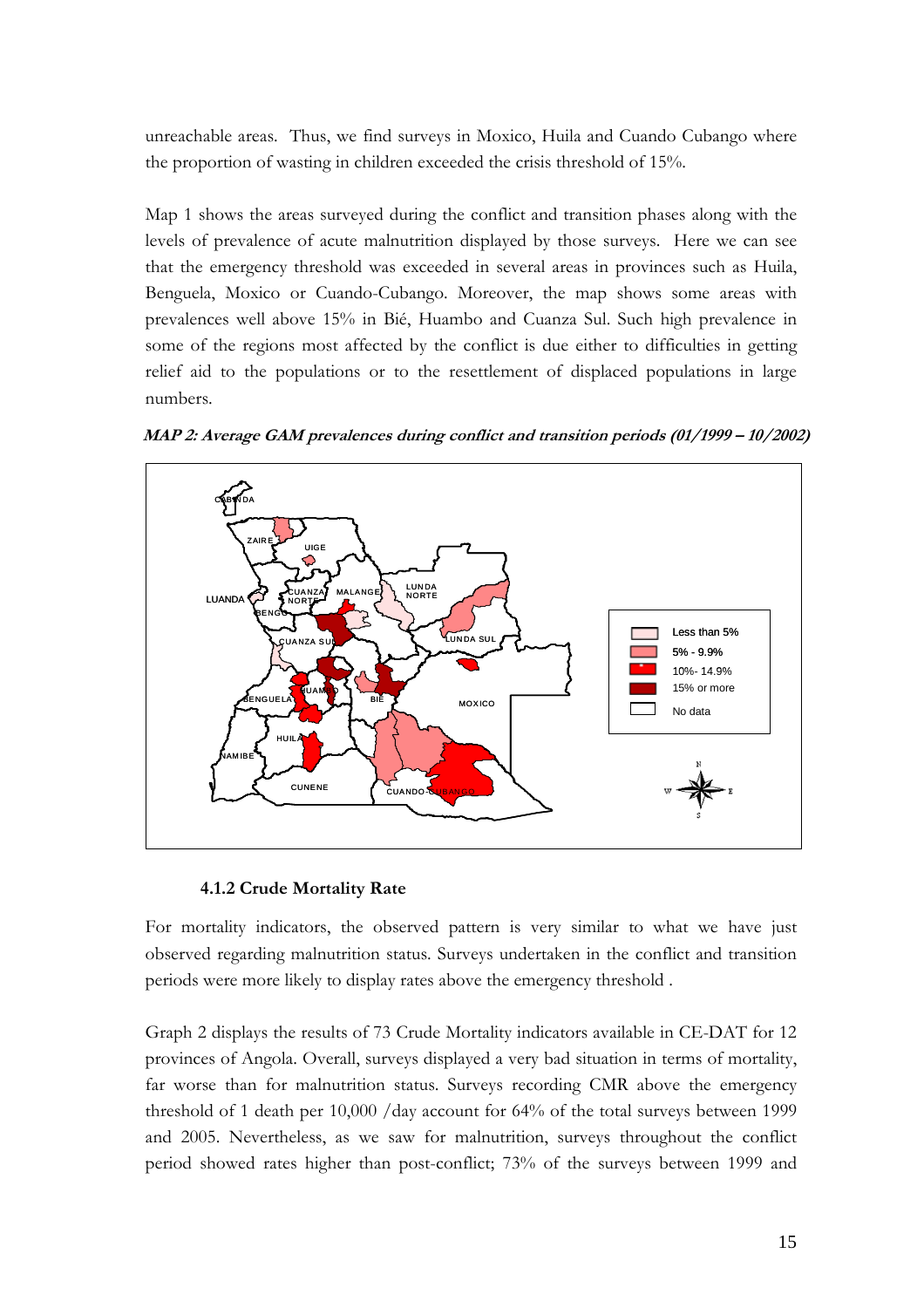unreachable areas. Thus, we find surveys in Moxico, Huila and Cuando Cubango where the proportion of wasting in children exceeded the crisis threshold of 15%.

Map 1 shows the areas surveyed during the conflict and transition phases along with the levels of prevalence of acute malnutrition displayed by those surveys. Here we can see that the emergency threshold was exceeded in several areas in provinces such as Huila, Benguela, Moxico or Cuando-Cubango. Moreover, the map shows some areas with prevalences well above 15% in Bié, Huambo and Cuanza Sul. Such high prevalence in some of the regions most affected by the conflict is due either to difficulties in getting relief aid to the populations or to the resettlement of displaced populations in large numbers.



MAP 2: Average GAM prevalences during conflict and transition periods (01/1999 – 10/2002)

#### 4.1.2 Crude Mortality Rate

For mortality indicators, the observed pattern is very similar to what we have just observed regarding malnutrition status. Surveys undertaken in the conflict and transition periods were more likely to display rates above the emergency threshold .

Graph 2 displays the results of 73 Crude Mortality indicators available in CE-DAT for 12 provinces of Angola. Overall, surveys displayed a very bad situation in terms of mortality, far worse than for malnutrition status. Surveys recording CMR above the emergency threshold of 1 death per 10,000 /day account for 64% of the total surveys between 1999 and 2005. Nevertheless, as we saw for malnutrition, surveys throughout the conflict period showed rates higher than post-conflict; 73% of the surveys between 1999 and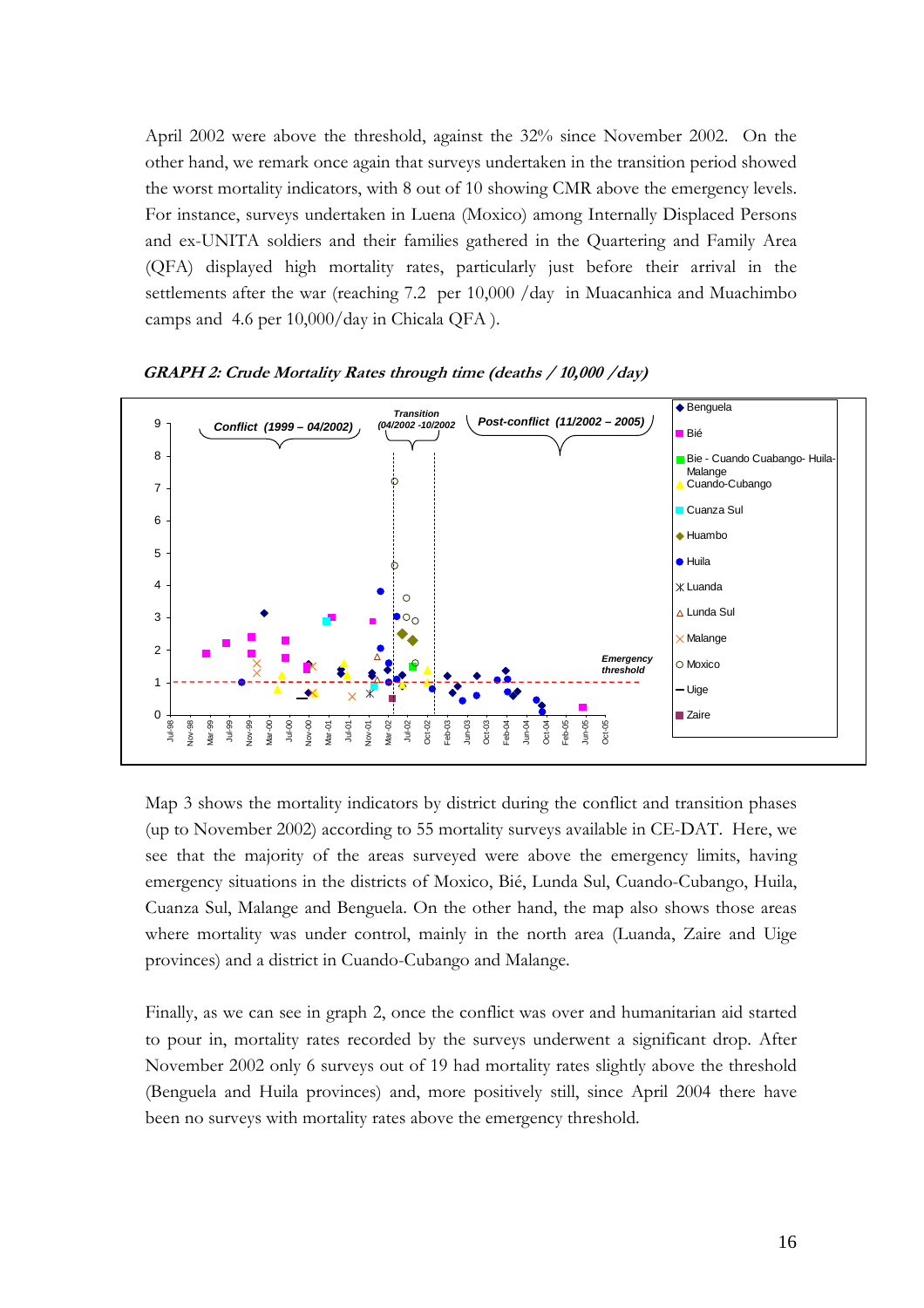April 2002 were above the threshold, against the 32% since November 2002. On the other hand, we remark once again that surveys undertaken in the transition period showed the worst mortality indicators, with 8 out of 10 showing CMR above the emergency levels. For instance, surveys undertaken in Luena (Moxico) among Internally Displaced Persons and ex-UNITA soldiers and their families gathered in the Quartering and Family Area (QFA) displayed high mortality rates, particularly just before their arrival in the settlements after the war (reaching 7.2 per 10,000 /day in Muacanhica and Muachimbo camps and 4.6 per 10,000/day in Chicala QFA ).



GRAPH 2: Crude Mortality Rates through time (deaths / 10,000 /day)

Map 3 shows the mortality indicators by district during the conflict and transition phases (up to November 2002) according to 55 mortality surveys available in CE-DAT. Here, we see that the majority of the areas surveyed were above the emergency limits, having emergency situations in the districts of Moxico, Bié, Lunda Sul, Cuando-Cubango, Huila, Cuanza Sul, Malange and Benguela. On the other hand, the map also shows those areas where mortality was under control, mainly in the north area (Luanda, Zaire and Uige provinces) and a district in Cuando-Cubango and Malange.

Finally, as we can see in graph 2, once the conflict was over and humanitarian aid started to pour in, mortality rates recorded by the surveys underwent a significant drop. After November 2002 only 6 surveys out of 19 had mortality rates slightly above the threshold (Benguela and Huila provinces) and, more positively still, since April 2004 there have been no surveys with mortality rates above the emergency threshold.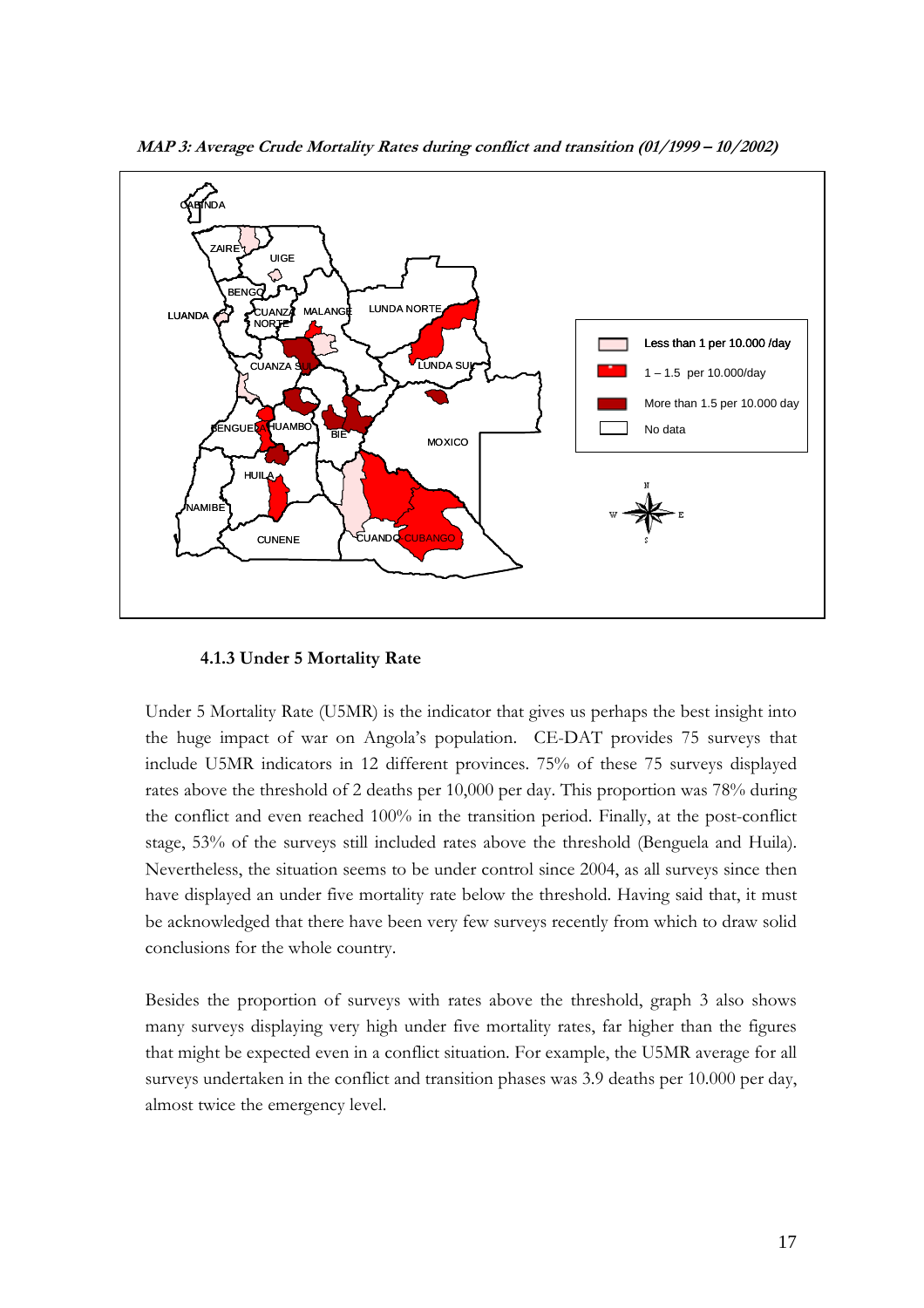

MAP 3: Average Crude Mortality Rates during conflict and transition (01/1999 – 10/2002)

#### 4.1.3 Under 5 Mortality Rate

Under 5 Mortality Rate (U5MR) is the indicator that gives us perhaps the best insight into the huge impact of war on Angola's population. CE-DAT provides 75 surveys that include U5MR indicators in 12 different provinces. 75% of these 75 surveys displayed rates above the threshold of 2 deaths per 10,000 per day. This proportion was 78% during the conflict and even reached 100% in the transition period. Finally, at the post-conflict stage, 53% of the surveys still included rates above the threshold (Benguela and Huila). Nevertheless, the situation seems to be under control since 2004, as all surveys since then have displayed an under five mortality rate below the threshold. Having said that, it must be acknowledged that there have been very few surveys recently from which to draw solid conclusions for the whole country.

Besides the proportion of surveys with rates above the threshold, graph 3 also shows many surveys displaying very high under five mortality rates, far higher than the figures that might be expected even in a conflict situation. For example, the U5MR average for all surveys undertaken in the conflict and transition phases was 3.9 deaths per 10.000 per day, almost twice the emergency level.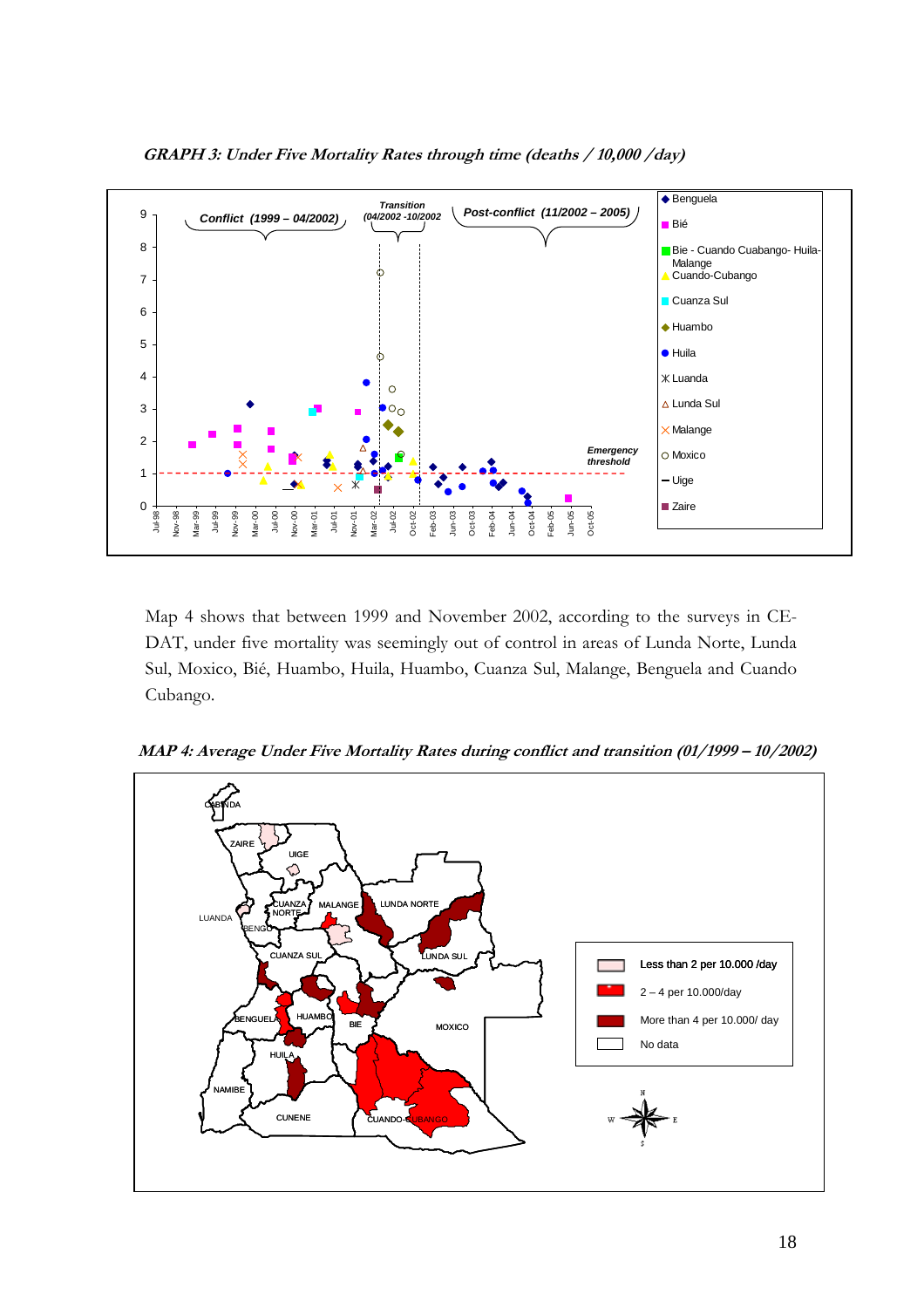

GRAPH 3: Under Five Mortality Rates through time (deaths / 10,000 /day)

DAT, under five mortality was seemingly out of control in areas of Lunda Norte, Lunda Sul, Moxico, Bié, Huambo, Huila, Huambo, Cuanza Sul, Malange, Benguela and Cuando Cubango.

MAP 4: Average Under Five Mortality Rates during conflict and transition (01/1999 – 10/2002)

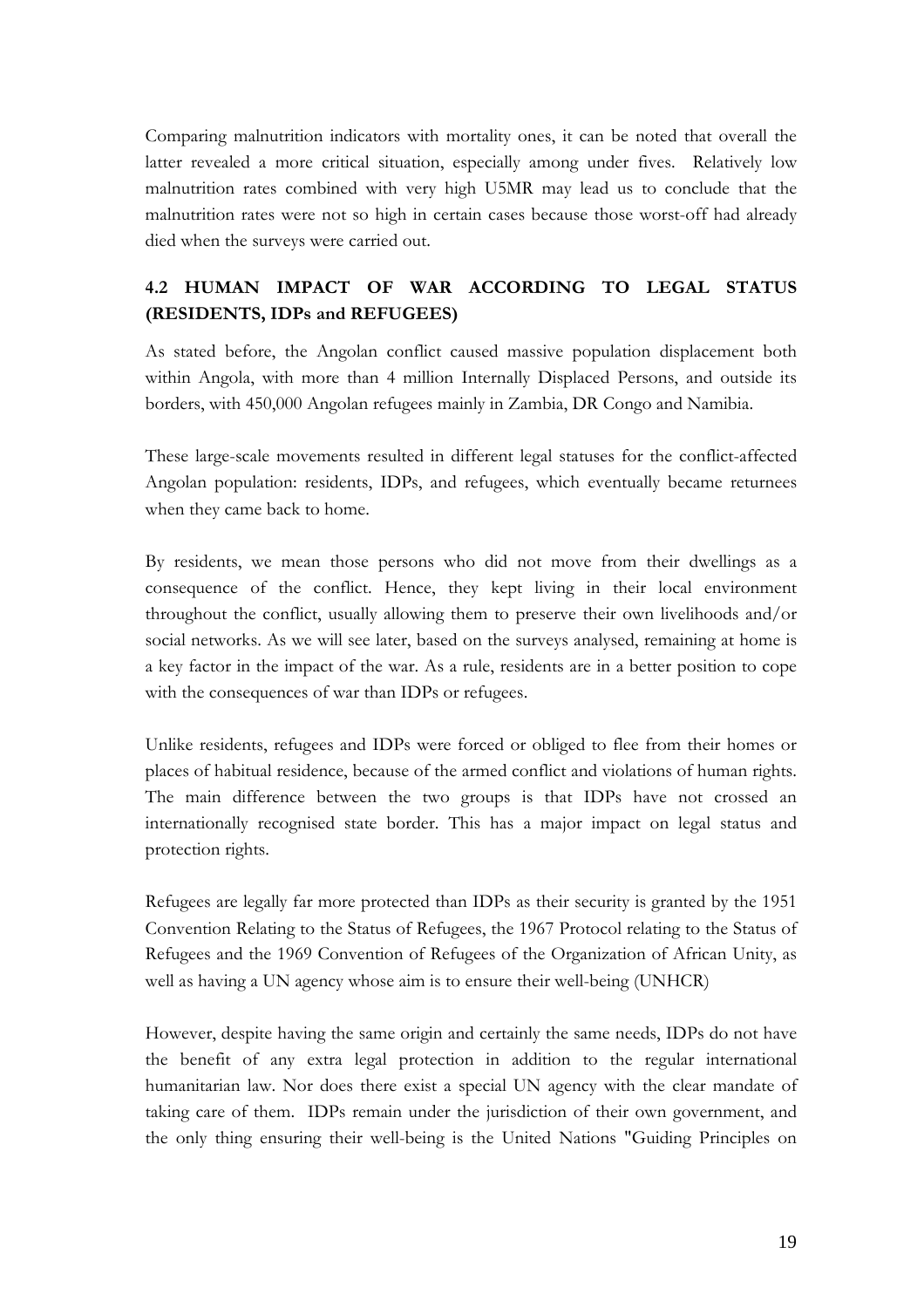Comparing malnutrition indicators with mortality ones, it can be noted that overall the latter revealed a more critical situation, especially among under fives. Relatively low malnutrition rates combined with very high U5MR may lead us to conclude that the malnutrition rates were not so high in certain cases because those worst-off had already died when the surveys were carried out.

# 4.2 HUMAN IMPACT OF WAR ACCORDING TO LEGAL STATUS (RESIDENTS, IDPs and REFUGEES)

As stated before, the Angolan conflict caused massive population displacement both within Angola, with more than 4 million Internally Displaced Persons, and outside its borders, with 450,000 Angolan refugees mainly in Zambia, DR Congo and Namibia.

These large-scale movements resulted in different legal statuses for the conflict-affected Angolan population: residents, IDPs, and refugees, which eventually became returnees when they came back to home.

By residents, we mean those persons who did not move from their dwellings as a consequence of the conflict. Hence, they kept living in their local environment throughout the conflict, usually allowing them to preserve their own livelihoods and/or social networks. As we will see later, based on the surveys analysed, remaining at home is a key factor in the impact of the war. As a rule, residents are in a better position to cope with the consequences of war than IDPs or refugees.

Unlike residents, refugees and IDPs were forced or obliged to flee from their homes or places of habitual residence, because of the armed conflict and violations of human rights. The main difference between the two groups is that IDPs have not crossed an internationally recognised state border. This has a major impact on legal status and protection rights.

Refugees are legally far more protected than IDPs as their security is granted by the 1951 Convention Relating to the Status of Refugees, the 1967 Protocol relating to the Status of Refugees and the 1969 Convention of Refugees of the Organization of African Unity, as well as having a UN agency whose aim is to ensure their well-being (UNHCR)

However, despite having the same origin and certainly the same needs, IDPs do not have the benefit of any extra legal protection in addition to the regular international humanitarian law. Nor does there exist a special UN agency with the clear mandate of taking care of them. IDPs remain under the jurisdiction of their own government, and the only thing ensuring their well-being is the United Nations "Guiding Principles on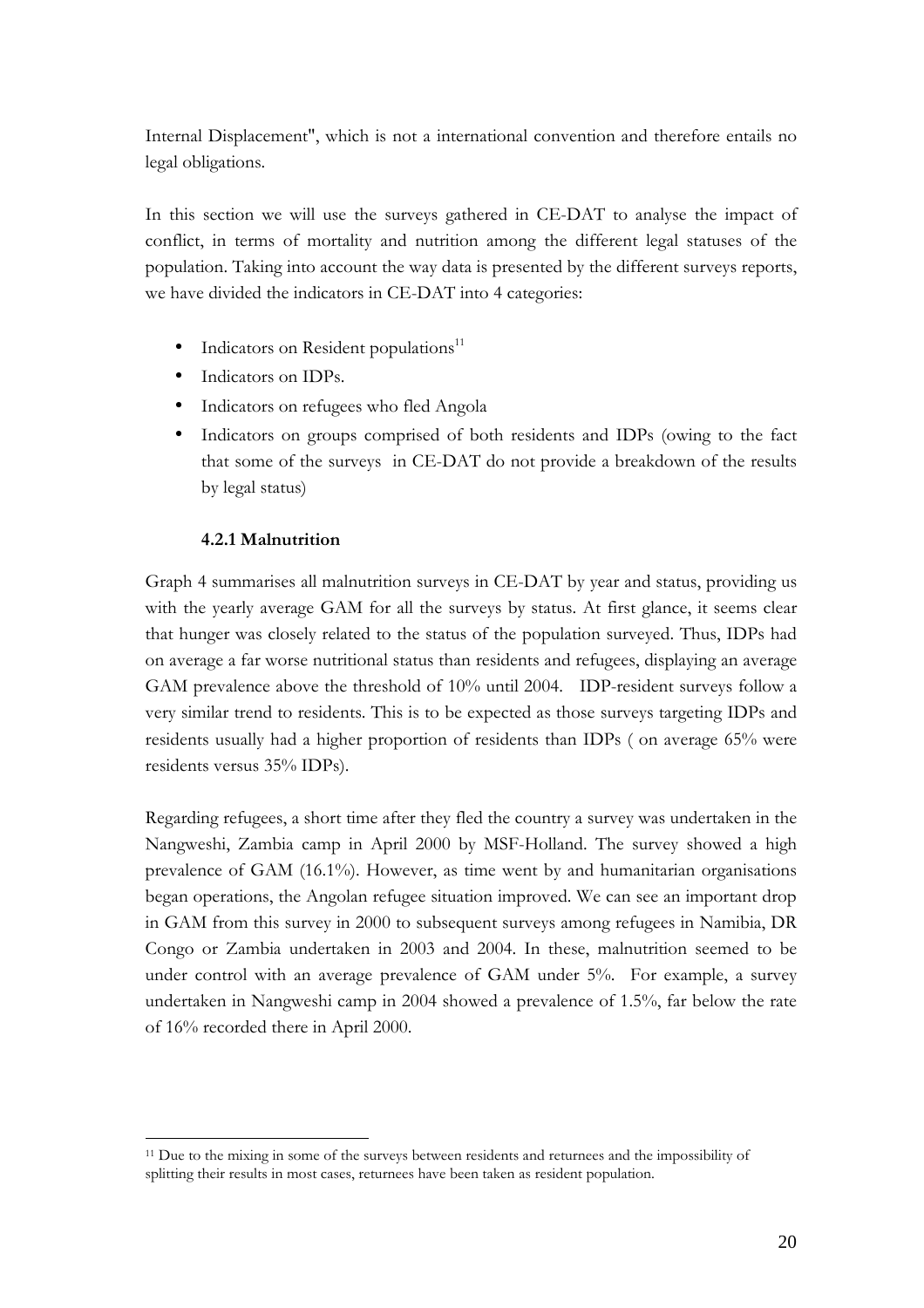Internal Displacement", which is not a international convention and therefore entails no legal obligations.

In this section we will use the surveys gathered in CE-DAT to analyse the impact of conflict, in terms of mortality and nutrition among the different legal statuses of the population. Taking into account the way data is presented by the different surveys reports, we have divided the indicators in CE-DAT into 4 categories:

- $\bullet$  Indicators on Resident populations<sup>11</sup>
- Indicators on IDPs.
- Indicators on refugees who fled Angola
- Indicators on groups comprised of both residents and IDPs (owing to the fact that some of the surveys in CE-DAT do not provide a breakdown of the results by legal status)

#### 4.2.1 Malnutrition

 $\overline{a}$ 

Graph 4 summarises all malnutrition surveys in CE-DAT by year and status, providing us with the yearly average GAM for all the surveys by status. At first glance, it seems clear that hunger was closely related to the status of the population surveyed. Thus, IDPs had on average a far worse nutritional status than residents and refugees, displaying an average GAM prevalence above the threshold of 10% until 2004. IDP-resident surveys follow a very similar trend to residents. This is to be expected as those surveys targeting IDPs and residents usually had a higher proportion of residents than IDPs ( on average 65% were residents versus 35% IDPs).

Regarding refugees, a short time after they fled the country a survey was undertaken in the Nangweshi, Zambia camp in April 2000 by MSF-Holland. The survey showed a high prevalence of GAM (16.1%). However, as time went by and humanitarian organisations began operations, the Angolan refugee situation improved. We can see an important drop in GAM from this survey in 2000 to subsequent surveys among refugees in Namibia, DR Congo or Zambia undertaken in 2003 and 2004. In these, malnutrition seemed to be under control with an average prevalence of GAM under 5%. For example, a survey undertaken in Nangweshi camp in 2004 showed a prevalence of 1.5%, far below the rate of 16% recorded there in April 2000.

<sup>&</sup>lt;sup>11</sup> Due to the mixing in some of the surveys between residents and returnees and the impossibility of splitting their results in most cases, returnees have been taken as resident population.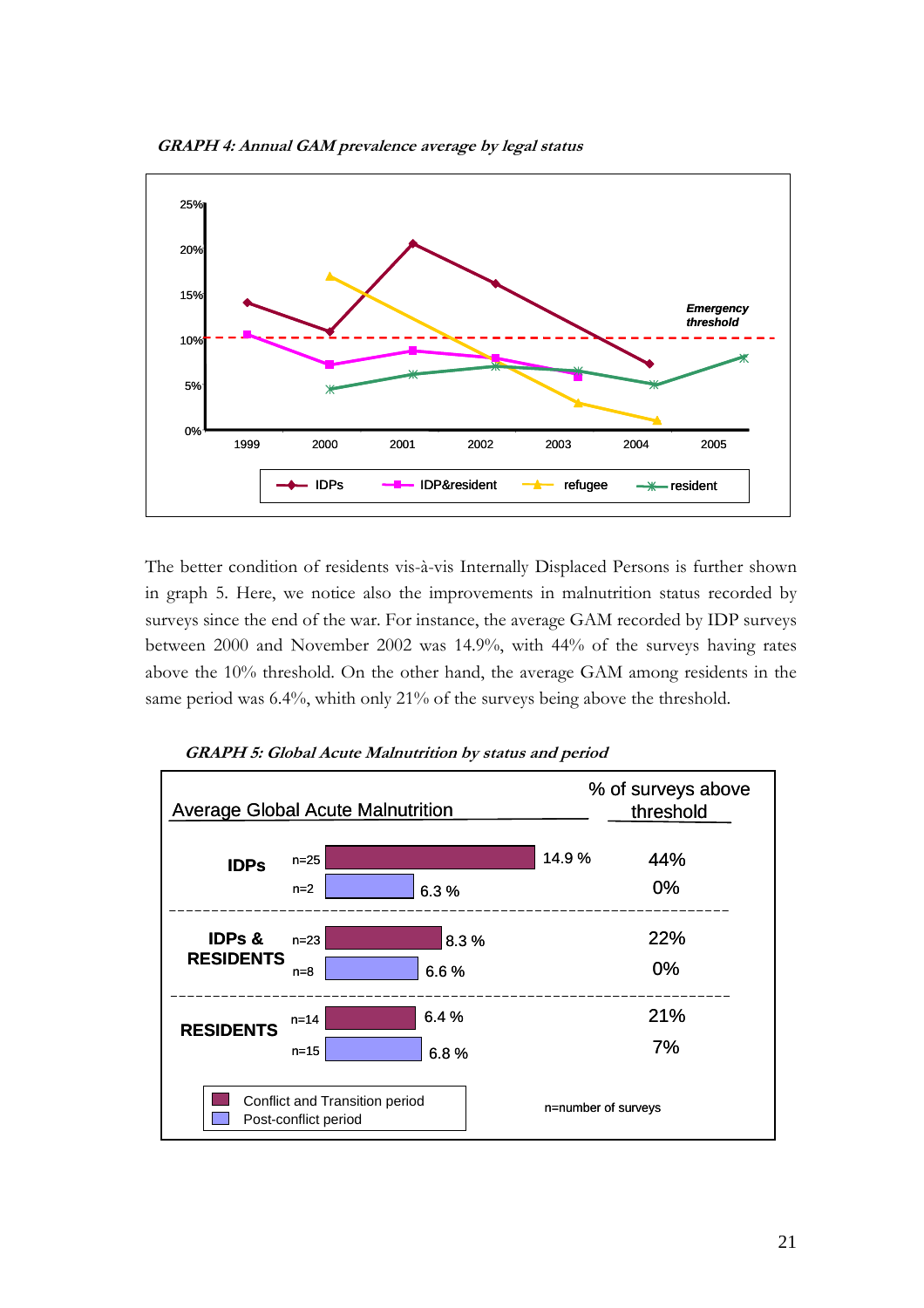

The better condition of residents vis-à-vis Internally Displaced Persons is further shown in graph 5. Here, we notice also the improvements in malnutrition status recorded by surveys since the end of the war. For instance, the average GAM recorded by IDP surveys between 2000 and November 2002 was 14.9%, with 44% of the surveys having rates above the 10% threshold. On the other hand, the average GAM among residents in the same period was 6.4%, whith only 21% of the surveys being above the threshold.



GRAPH 5: Global Acute Malnutrition by status and period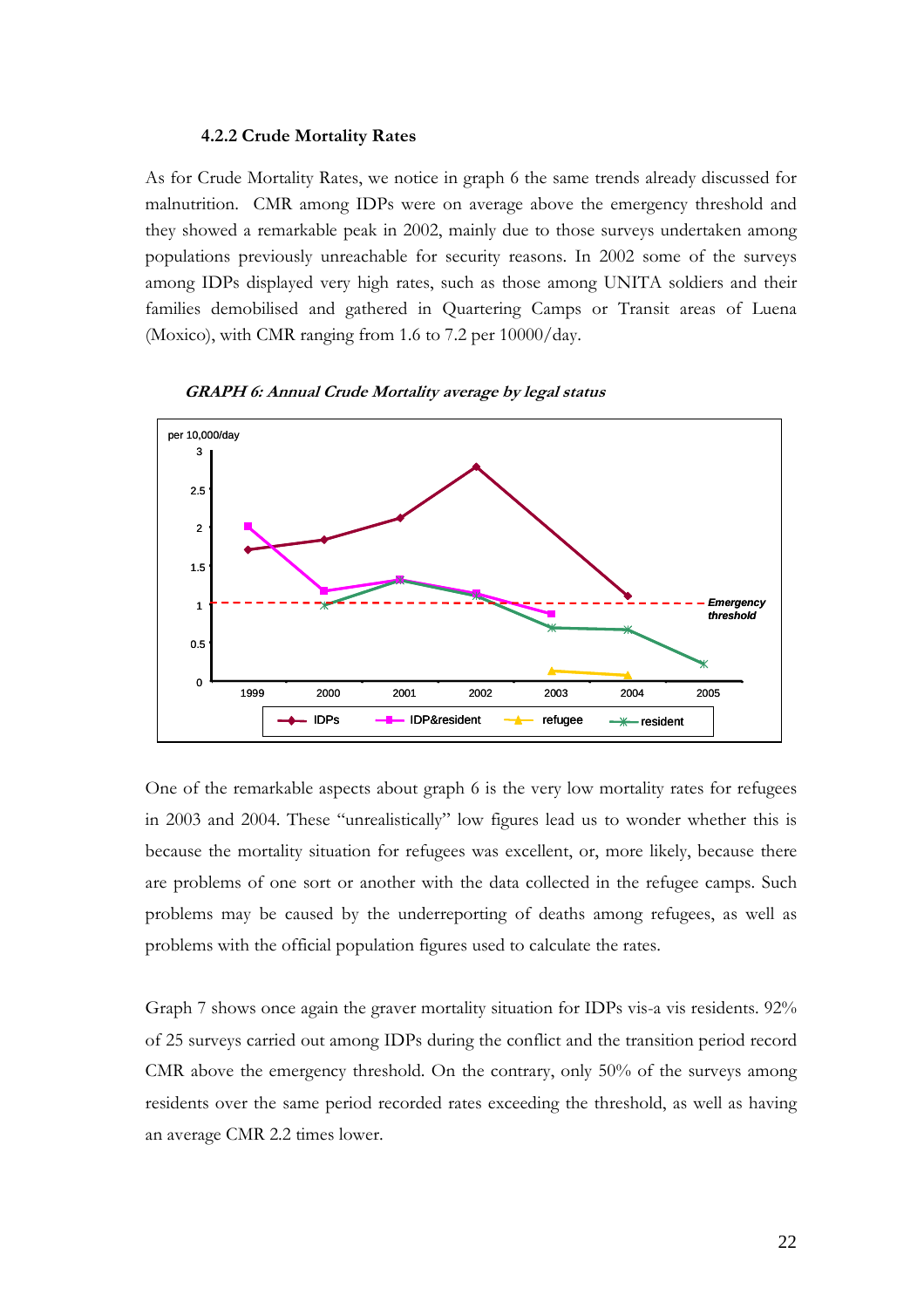#### 4.2.2 Crude Mortality Rates

As for Crude Mortality Rates, we notice in graph 6 the same trends already discussed for malnutrition. CMR among IDPs were on average above the emergency threshold and they showed a remarkable peak in 2002, mainly due to those surveys undertaken among populations previously unreachable for security reasons. In 2002 some of the surveys among IDPs displayed very high rates, such as those among UNITA soldiers and their families demobilised and gathered in Quartering Camps or Transit areas of Luena (Moxico), with CMR ranging from 1.6 to 7.2 per 10000/day.



GRAPH 6: Annual Crude Mortality average by legal status

One of the remarkable aspects about graph 6 is the very low mortality rates for refugees in 2003 and 2004. These "unrealistically" low figures lead us to wonder whether this is because the mortality situation for refugees was excellent, or, more likely, because there are problems of one sort or another with the data collected in the refugee camps. Such problems may be caused by the underreporting of deaths among refugees, as well as problems with the official population figures used to calculate the rates.

Graph 7 shows once again the graver mortality situation for IDPs vis-a vis residents. 92% of 25 surveys carried out among IDPs during the conflict and the transition period record CMR above the emergency threshold. On the contrary, only 50% of the surveys among residents over the same period recorded rates exceeding the threshold, as well as having an average CMR 2.2 times lower.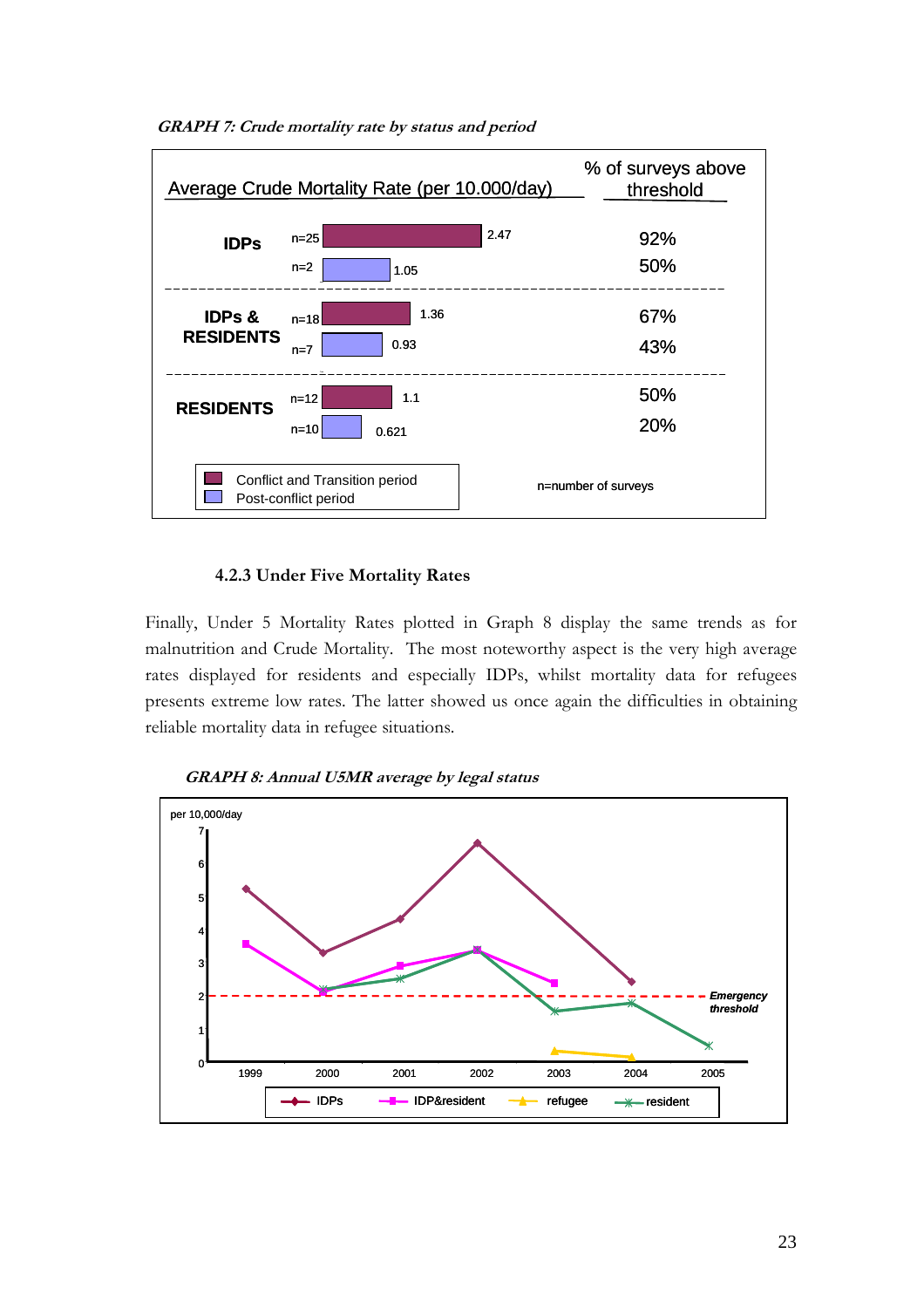

GRAPH 7: Crude mortality rate by status and period

#### 4.2.3 Under Five Mortality Rates

Finally, Under 5 Mortality Rates plotted in Graph 8 display the same trends as for malnutrition and Crude Mortality. The most noteworthy aspect is the very high average rates displayed for residents and especially IDPs, whilst mortality data for refugees presents extreme low rates. The latter showed us once again the difficulties in obtaining reliable mortality data in refugee situations.



GRAPH 8: Annual U5MR average by legal status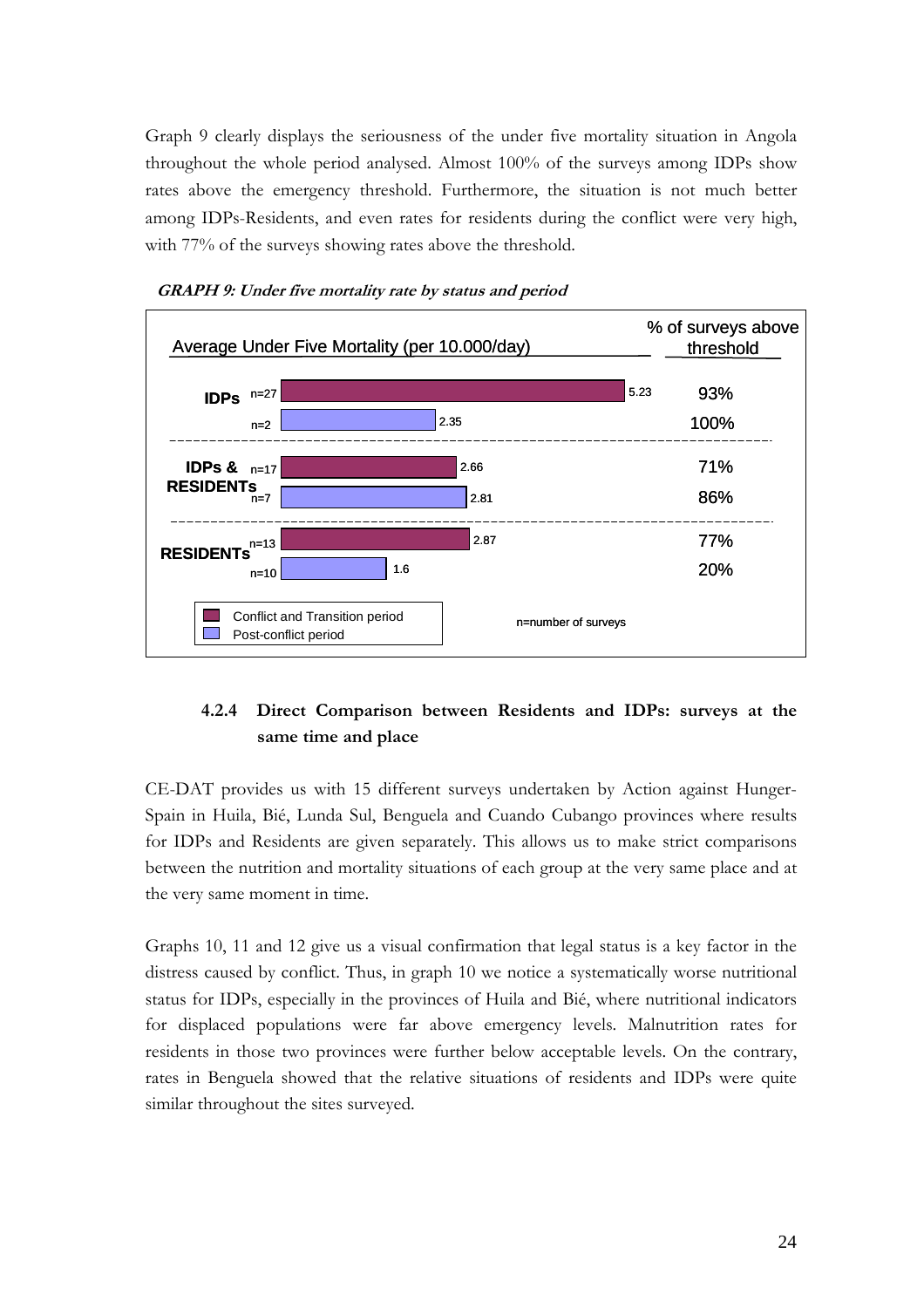Graph 9 clearly displays the seriousness of the under five mortality situation in Angola throughout the whole period analysed. Almost 100% of the surveys among IDPs show rates above the emergency threshold. Furthermore, the situation is not much better among IDPs-Residents, and even rates for residents during the conflict were very high, with 77% of the surveys showing rates above the threshold.





#### 4.2.4 Direct Comparison between Residents and IDPs: surveys at the same time and place

CE-DAT provides us with 15 different surveys undertaken by Action against Hunger-Spain in Huila, Bié, Lunda Sul, Benguela and Cuando Cubango provinces where results for IDPs and Residents are given separately. This allows us to make strict comparisons between the nutrition and mortality situations of each group at the very same place and at the very same moment in time.

Graphs 10, 11 and 12 give us a visual confirmation that legal status is a key factor in the distress caused by conflict. Thus, in graph 10 we notice a systematically worse nutritional status for IDPs, especially in the provinces of Huila and Bié, where nutritional indicators for displaced populations were far above emergency levels. Malnutrition rates for residents in those two provinces were further below acceptable levels. On the contrary, rates in Benguela showed that the relative situations of residents and IDPs were quite similar throughout the sites surveyed.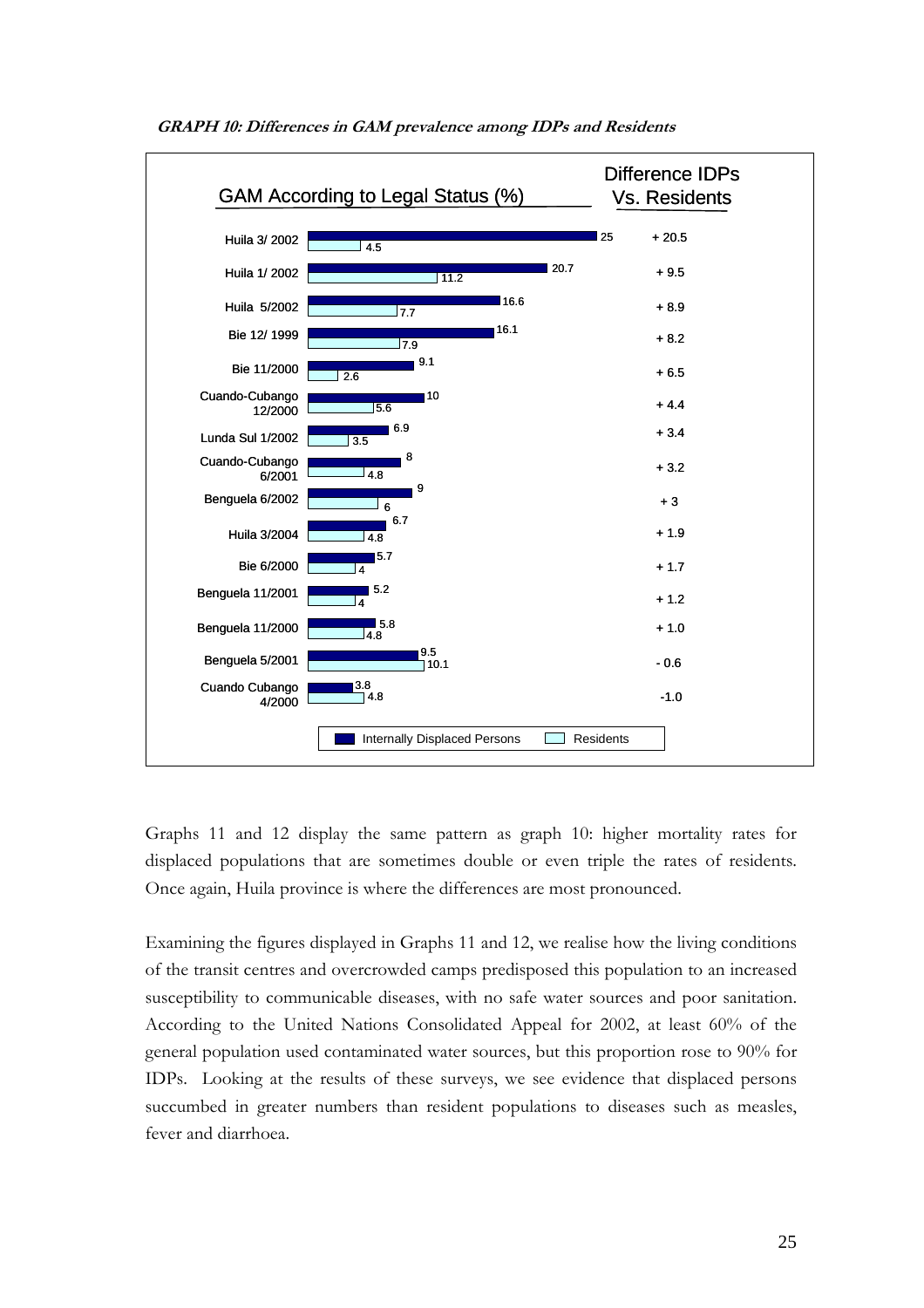

Graphs 11 and 12 display the same pattern as graph 10: higher mortality rates for displaced populations that are sometimes double or even triple the rates of residents. Once again, Huila province is where the differences are most pronounced.

Examining the figures displayed in Graphs 11 and 12, we realise how the living conditions of the transit centres and overcrowded camps predisposed this population to an increased susceptibility to communicable diseases, with no safe water sources and poor sanitation. According to the United Nations Consolidated Appeal for 2002, at least 60% of the general population used contaminated water sources, but this proportion rose to 90% for IDPs. Looking at the results of these surveys, we see evidence that displaced persons succumbed in greater numbers than resident populations to diseases such as measles, fever and diarrhoea.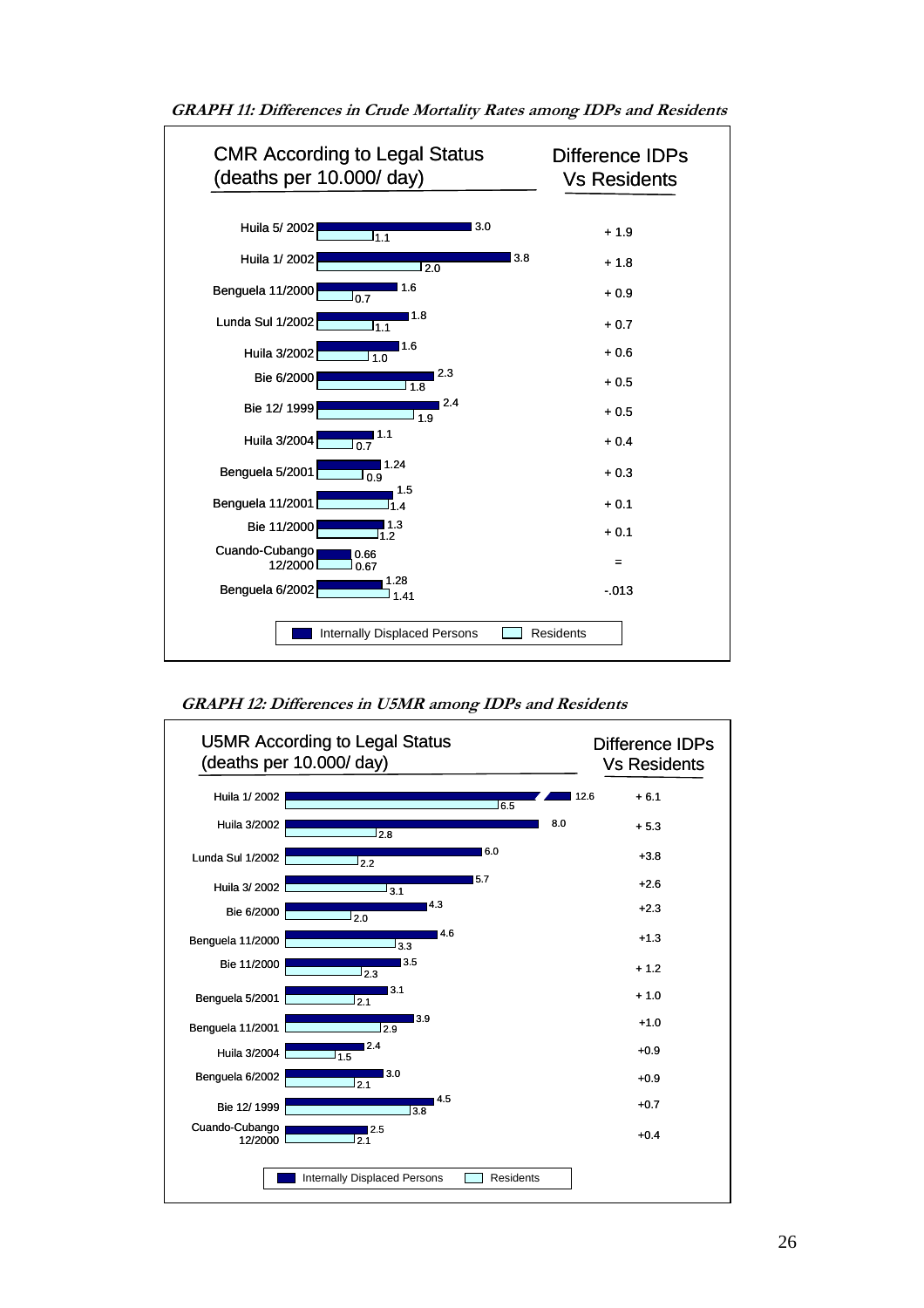

GRAPH 11: Differences in Crude Mortality Rates among IDPs and Residents

GRAPH 12: Differences in U5MR among IDPs and Residents

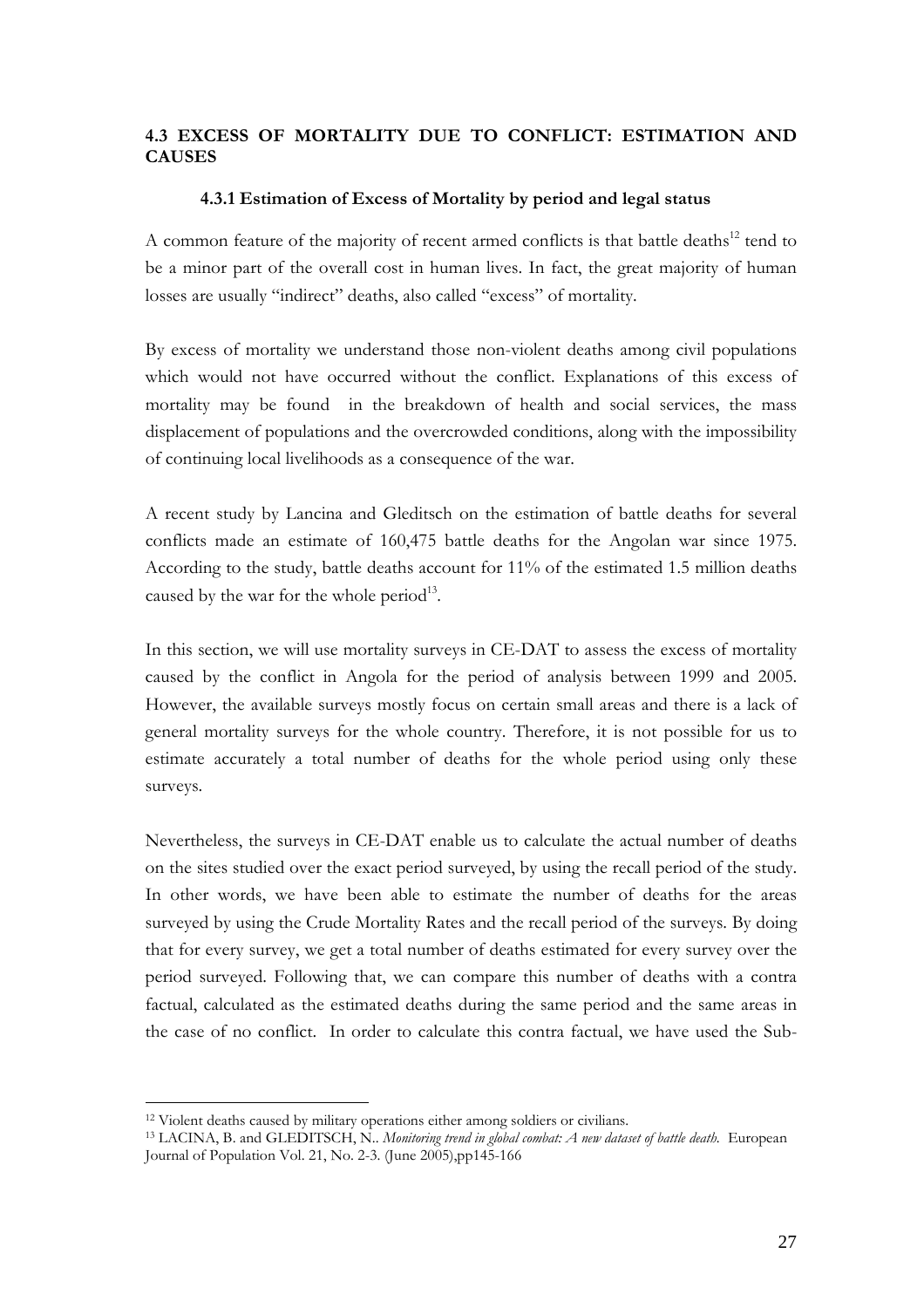#### 4.3 EXCESS OF MORTALITY DUE TO CONFLICT: ESTIMATION AND CAUSES

#### 4.3.1 Estimation of Excess of Mortality by period and legal status

A common feature of the majority of recent armed conflicts is that battle deaths $^{12}$  tend to be a minor part of the overall cost in human lives. In fact, the great majority of human losses are usually "indirect" deaths, also called "excess" of mortality.

By excess of mortality we understand those non-violent deaths among civil populations which would not have occurred without the conflict. Explanations of this excess of mortality may be found in the breakdown of health and social services, the mass displacement of populations and the overcrowded conditions, along with the impossibility of continuing local livelihoods as a consequence of the war.

A recent study by Lancina and Gleditsch on the estimation of battle deaths for several conflicts made an estimate of 160,475 battle deaths for the Angolan war since 1975. According to the study, battle deaths account for 11% of the estimated 1.5 million deaths caused by the war for the whole period $^{13}$ .

In this section, we will use mortality surveys in CE-DAT to assess the excess of mortality caused by the conflict in Angola for the period of analysis between 1999 and 2005. However, the available surveys mostly focus on certain small areas and there is a lack of general mortality surveys for the whole country. Therefore, it is not possible for us to estimate accurately a total number of deaths for the whole period using only these surveys.

Nevertheless, the surveys in CE-DAT enable us to calculate the actual number of deaths on the sites studied over the exact period surveyed, by using the recall period of the study. In other words, we have been able to estimate the number of deaths for the areas surveyed by using the Crude Mortality Rates and the recall period of the surveys. By doing that for every survey, we get a total number of deaths estimated for every survey over the period surveyed. Following that, we can compare this number of deaths with a contra factual, calculated as the estimated deaths during the same period and the same areas in the case of no conflict. In order to calculate this contra factual, we have used the Sub-

<sup>12</sup> Violent deaths caused by military operations either among soldiers or civilians.

<sup>&</sup>lt;sup>13</sup> LACINA, B. and GLEDITSCH, N.. Monitoring trend in global combat: A new dataset of battle death. European Journal of Population Vol. 21, No. 2-3. (June 2005),pp145-166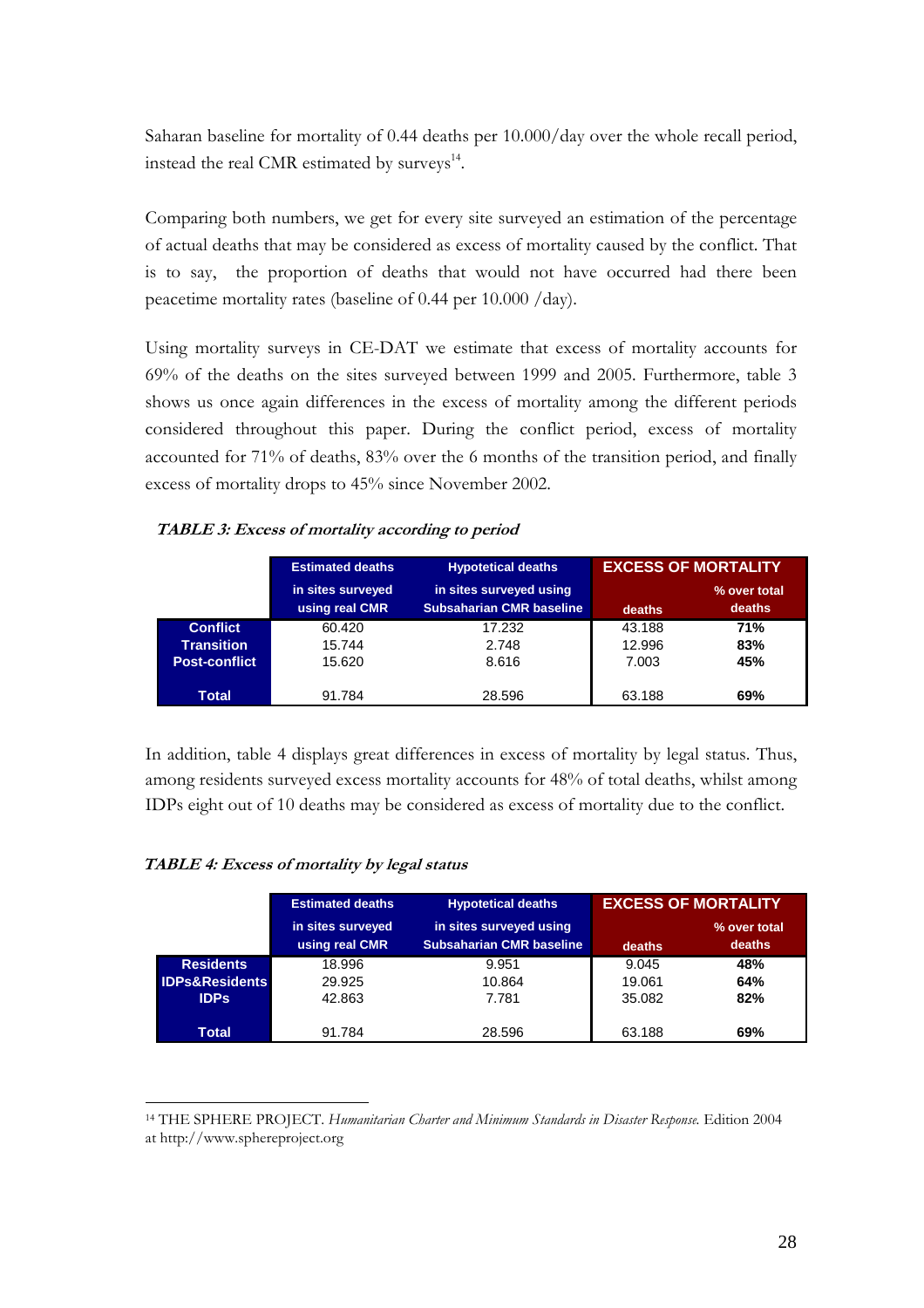Saharan baseline for mortality of 0.44 deaths per 10.000/day over the whole recall period, instead the real CMR estimated by surveys<sup>14</sup>.

Comparing both numbers, we get for every site surveyed an estimation of the percentage of actual deaths that may be considered as excess of mortality caused by the conflict. That is to say, the proportion of deaths that would not have occurred had there been peacetime mortality rates (baseline of 0.44 per 10.000 /day).

Using mortality surveys in CE-DAT we estimate that excess of mortality accounts for 69% of the deaths on the sites surveyed between 1999 and 2005. Furthermore, table 3 shows us once again differences in the excess of mortality among the different periods considered throughout this paper. During the conflict period, excess of mortality accounted for 71% of deaths, 83% over the 6 months of the transition period, and finally excess of mortality drops to 45% since November 2002.

#### TABLE 3: Excess of mortality according to period

| <b>Estimated deaths</b> | <b>Hypotetical deaths</b>          | <b>EXCESS OF MORTALITY</b>                         |                            |
|-------------------------|------------------------------------|----------------------------------------------------|----------------------------|
| in sites surveyed       | in sites surveyed using            |                                                    | % over total<br>deaths     |
| 60.420                  | 17.232                             | 43.188                                             | 71%                        |
| 15.620                  | 8.616                              | 7.003                                              | 83%<br>45%                 |
|                         |                                    |                                                    | 69%                        |
|                         | using real CMR<br>15.744<br>91.784 | <b>Subsaharian CMR baseline</b><br>2.748<br>28.596 | deaths<br>12.996<br>63.188 |

In addition, table 4 displays great differences in excess of mortality by legal status. Thus, among residents surveyed excess mortality accounts for 48% of total deaths, whilst among IDPs eight out of 10 deaths may be considered as excess of mortality due to the conflict.

#### TABLE 4: Excess of mortality by legal status

|                           | <b>Estimated deaths</b> | <b>Hypotetical deaths</b>                                  | <b>EXCESS OF MORTALITY</b> |              |
|---------------------------|-------------------------|------------------------------------------------------------|----------------------------|--------------|
|                           | in sites surveyed       | in sites surveyed using<br><b>Subsaharian CMR baseline</b> |                            | % over total |
|                           | using real CMR          |                                                            | deaths                     | deaths       |
| <b>Residents</b>          | 18.996                  | 9.951                                                      | 9.045                      | 48%          |
| <b>IDPs&amp;Residents</b> | 29.925                  | 10.864                                                     | 19.061                     | 64%          |
| <b>IDPs</b>               | 42.863                  | 7.781                                                      | 35.082                     | 82%          |
| Total                     | 91.784                  | 28.596                                                     | 63.188                     | 69%          |

<sup>&</sup>lt;sup>14</sup> THE SPHERE PROJECT. Humanitarian Charter and Minimum Standards in Disaster Response. Edition 2004 at http://www.sphereproject.org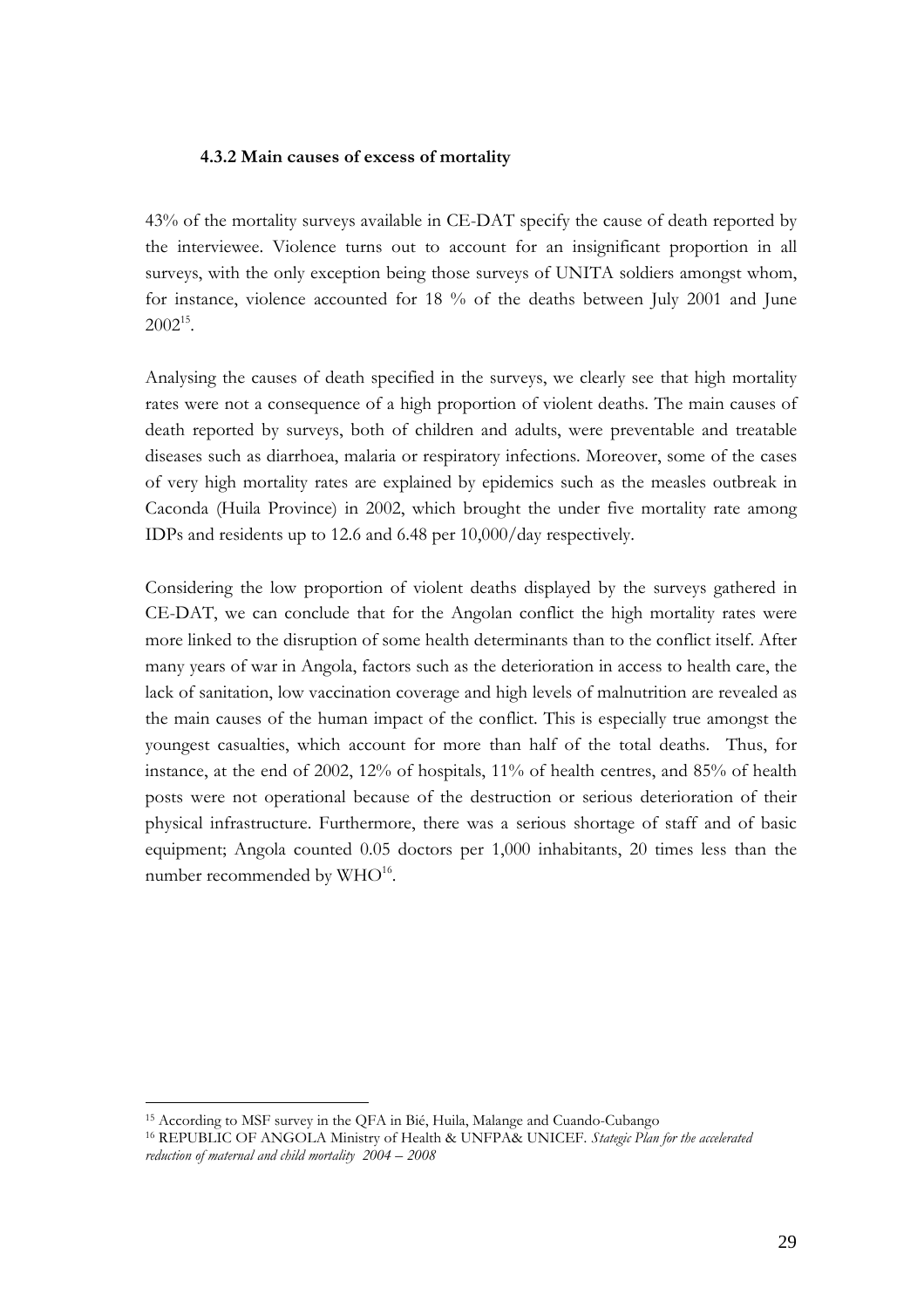#### 4.3.2 Main causes of excess of mortality

43% of the mortality surveys available in CE-DAT specify the cause of death reported by the interviewee. Violence turns out to account for an insignificant proportion in all surveys, with the only exception being those surveys of UNITA soldiers amongst whom, for instance, violence accounted for 18 % of the deaths between July 2001 and June  $2002^{15}$ .

Analysing the causes of death specified in the surveys, we clearly see that high mortality rates were not a consequence of a high proportion of violent deaths. The main causes of death reported by surveys, both of children and adults, were preventable and treatable diseases such as diarrhoea, malaria or respiratory infections. Moreover, some of the cases of very high mortality rates are explained by epidemics such as the measles outbreak in Caconda (Huila Province) in 2002, which brought the under five mortality rate among IDPs and residents up to 12.6 and 6.48 per 10,000/day respectively.

Considering the low proportion of violent deaths displayed by the surveys gathered in CE-DAT, we can conclude that for the Angolan conflict the high mortality rates were more linked to the disruption of some health determinants than to the conflict itself. After many years of war in Angola, factors such as the deterioration in access to health care, the lack of sanitation, low vaccination coverage and high levels of malnutrition are revealed as the main causes of the human impact of the conflict. This is especially true amongst the youngest casualties, which account for more than half of the total deaths. Thus, for instance, at the end of 2002, 12% of hospitals, 11% of health centres, and 85% of health posts were not operational because of the destruction or serious deterioration of their physical infrastructure. Furthermore, there was a serious shortage of staff and of basic equipment; Angola counted 0.05 doctors per 1,000 inhabitants, 20 times less than the number recommended by  $\rm WHO^{16}.$ 

<sup>15</sup> According to MSF survey in the QFA in Bié, Huila, Malange and Cuando-Cubango

<sup>&</sup>lt;sup>16</sup> REPUBLIC OF ANGOLA Ministry of Health & UNFPA& UNICEF. Stategic Plan for the accelerated reduction of maternal and child mortality 2004 – 2008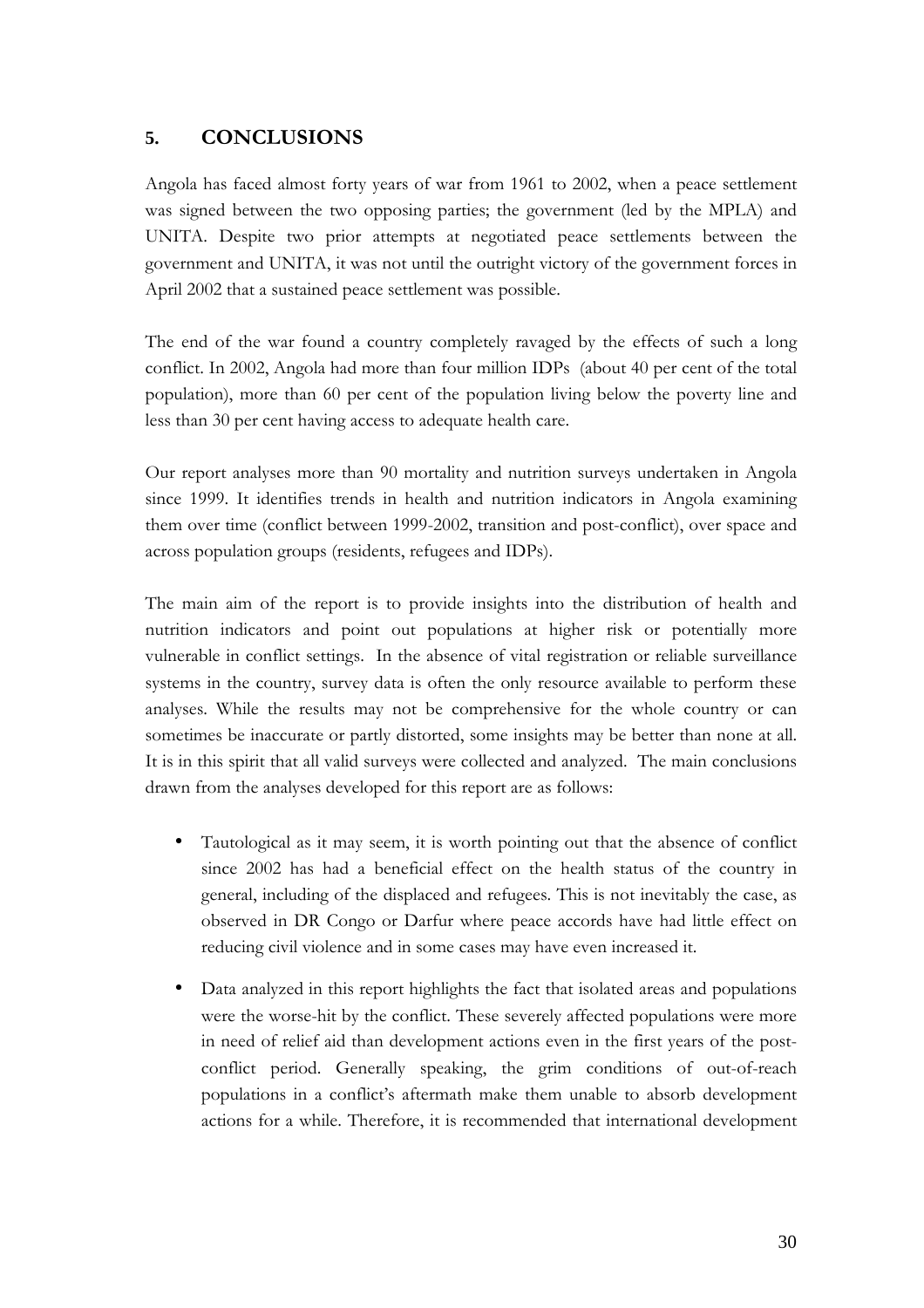# **5.** CONCLUSIONS

Angola has faced almost forty years of war from 1961 to 2002, when a peace settlement was signed between the two opposing parties; the government (led by the MPLA) and UNITA. Despite two prior attempts at negotiated peace settlements between the government and UNITA, it was not until the outright victory of the government forces in April 2002 that a sustained peace settlement was possible.

The end of the war found a country completely ravaged by the effects of such a long conflict. In 2002, Angola had more than four million IDPs (about 40 per cent of the total population), more than 60 per cent of the population living below the poverty line and less than 30 per cent having access to adequate health care.

Our report analyses more than 90 mortality and nutrition surveys undertaken in Angola since 1999. It identifies trends in health and nutrition indicators in Angola examining them over time (conflict between 1999-2002, transition and post-conflict), over space and across population groups (residents, refugees and IDPs).

The main aim of the report is to provide insights into the distribution of health and nutrition indicators and point out populations at higher risk or potentially more vulnerable in conflict settings. In the absence of vital registration or reliable surveillance systems in the country, survey data is often the only resource available to perform these analyses. While the results may not be comprehensive for the whole country or can sometimes be inaccurate or partly distorted, some insights may be better than none at all. It is in this spirit that all valid surveys were collected and analyzed. The main conclusions drawn from the analyses developed for this report are as follows:

- Tautological as it may seem, it is worth pointing out that the absence of conflict since 2002 has had a beneficial effect on the health status of the country in general, including of the displaced and refugees. This is not inevitably the case, as observed in DR Congo or Darfur where peace accords have had little effect on reducing civil violence and in some cases may have even increased it.
- Data analyzed in this report highlights the fact that isolated areas and populations were the worse-hit by the conflict. These severely affected populations were more in need of relief aid than development actions even in the first years of the postconflict period. Generally speaking, the grim conditions of out-of-reach populations in a conflict's aftermath make them unable to absorb development actions for a while. Therefore, it is recommended that international development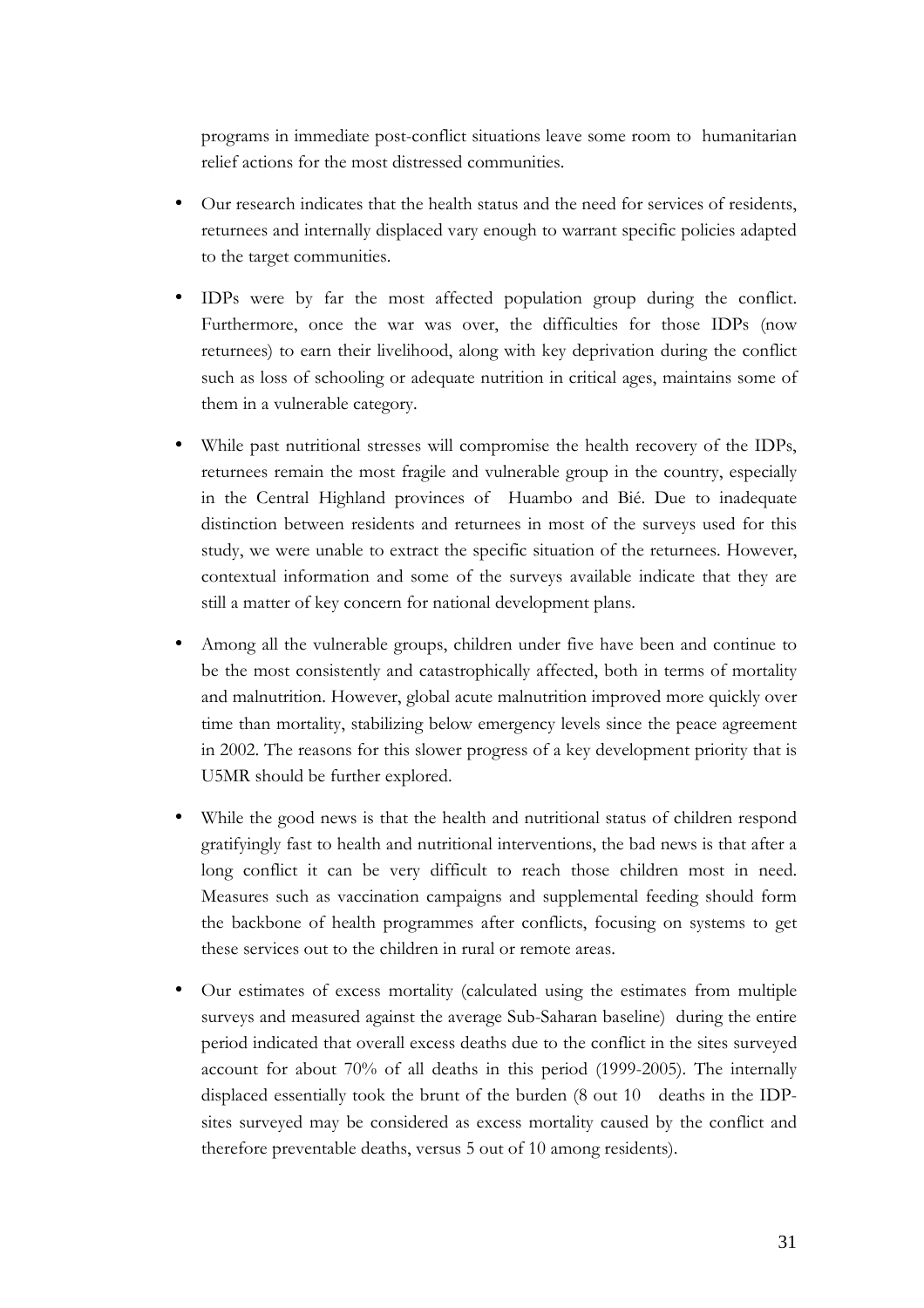programs in immediate post-conflict situations leave some room to humanitarian relief actions for the most distressed communities.

- Our research indicates that the health status and the need for services of residents, returnees and internally displaced vary enough to warrant specific policies adapted to the target communities.
- IDPs were by far the most affected population group during the conflict. Furthermore, once the war was over, the difficulties for those IDPs (now returnees) to earn their livelihood, along with key deprivation during the conflict such as loss of schooling or adequate nutrition in critical ages, maintains some of them in a vulnerable category.
- While past nutritional stresses will compromise the health recovery of the IDPs, returnees remain the most fragile and vulnerable group in the country, especially in the Central Highland provinces of Huambo and Bié. Due to inadequate distinction between residents and returnees in most of the surveys used for this study, we were unable to extract the specific situation of the returnees. However, contextual information and some of the surveys available indicate that they are still a matter of key concern for national development plans.
- Among all the vulnerable groups, children under five have been and continue to be the most consistently and catastrophically affected, both in terms of mortality and malnutrition. However, global acute malnutrition improved more quickly over time than mortality, stabilizing below emergency levels since the peace agreement in 2002. The reasons for this slower progress of a key development priority that is U5MR should be further explored.
- While the good news is that the health and nutritional status of children respond gratifyingly fast to health and nutritional interventions, the bad news is that after a long conflict it can be very difficult to reach those children most in need. Measures such as vaccination campaigns and supplemental feeding should form the backbone of health programmes after conflicts, focusing on systems to get these services out to the children in rural or remote areas.
- Our estimates of excess mortality (calculated using the estimates from multiple surveys and measured against the average Sub-Saharan baseline) during the entire period indicated that overall excess deaths due to the conflict in the sites surveyed account for about 70% of all deaths in this period (1999-2005). The internally displaced essentially took the brunt of the burden (8 out 10 deaths in the IDPsites surveyed may be considered as excess mortality caused by the conflict and therefore preventable deaths, versus 5 out of 10 among residents).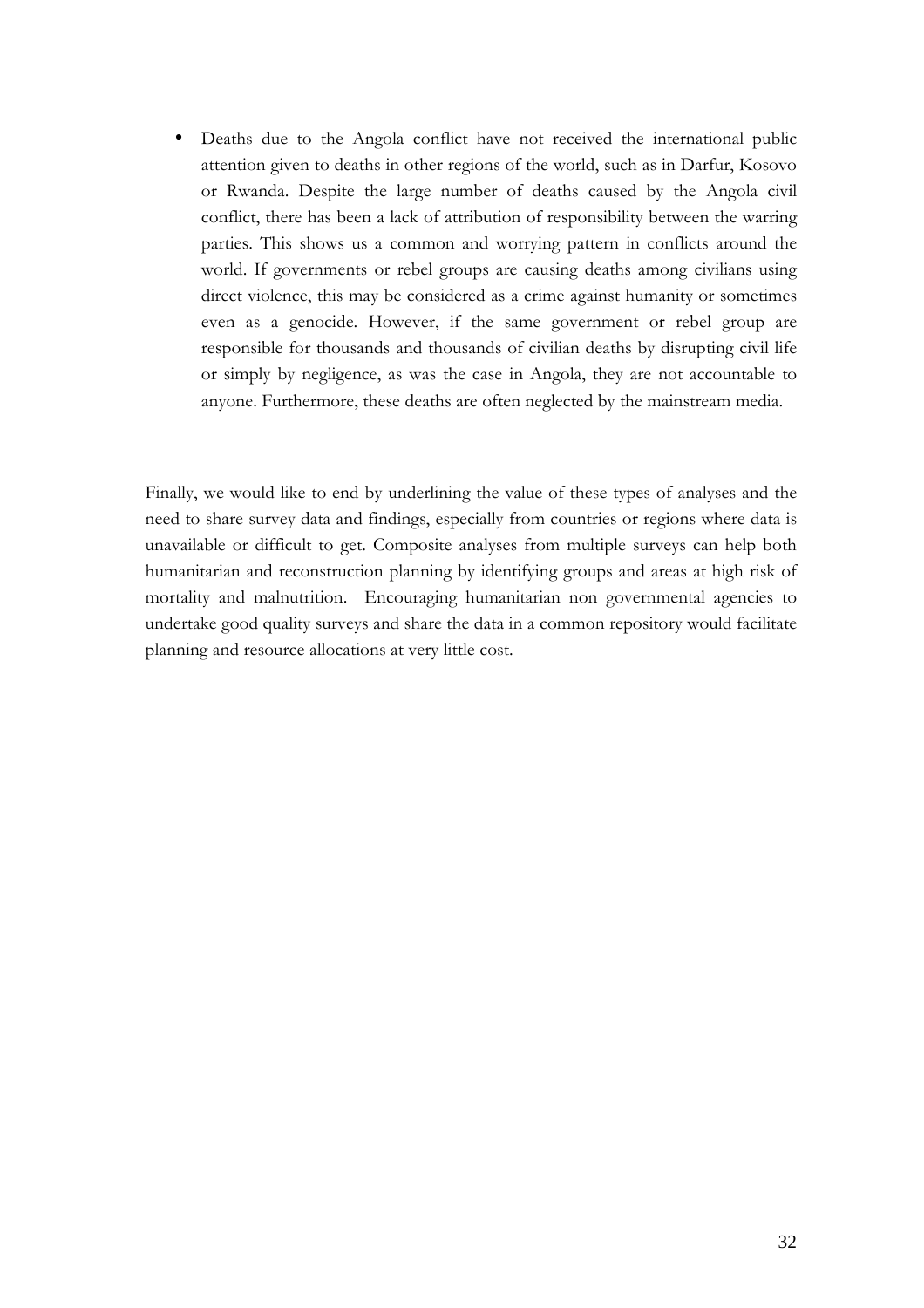• Deaths due to the Angola conflict have not received the international public attention given to deaths in other regions of the world, such as in Darfur, Kosovo or Rwanda. Despite the large number of deaths caused by the Angola civil conflict, there has been a lack of attribution of responsibility between the warring parties. This shows us a common and worrying pattern in conflicts around the world. If governments or rebel groups are causing deaths among civilians using direct violence, this may be considered as a crime against humanity or sometimes even as a genocide. However, if the same government or rebel group are responsible for thousands and thousands of civilian deaths by disrupting civil life or simply by negligence, as was the case in Angola, they are not accountable to anyone. Furthermore, these deaths are often neglected by the mainstream media.

Finally, we would like to end by underlining the value of these types of analyses and the need to share survey data and findings, especially from countries or regions where data is unavailable or difficult to get. Composite analyses from multiple surveys can help both humanitarian and reconstruction planning by identifying groups and areas at high risk of mortality and malnutrition. Encouraging humanitarian non governmental agencies to undertake good quality surveys and share the data in a common repository would facilitate planning and resource allocations at very little cost.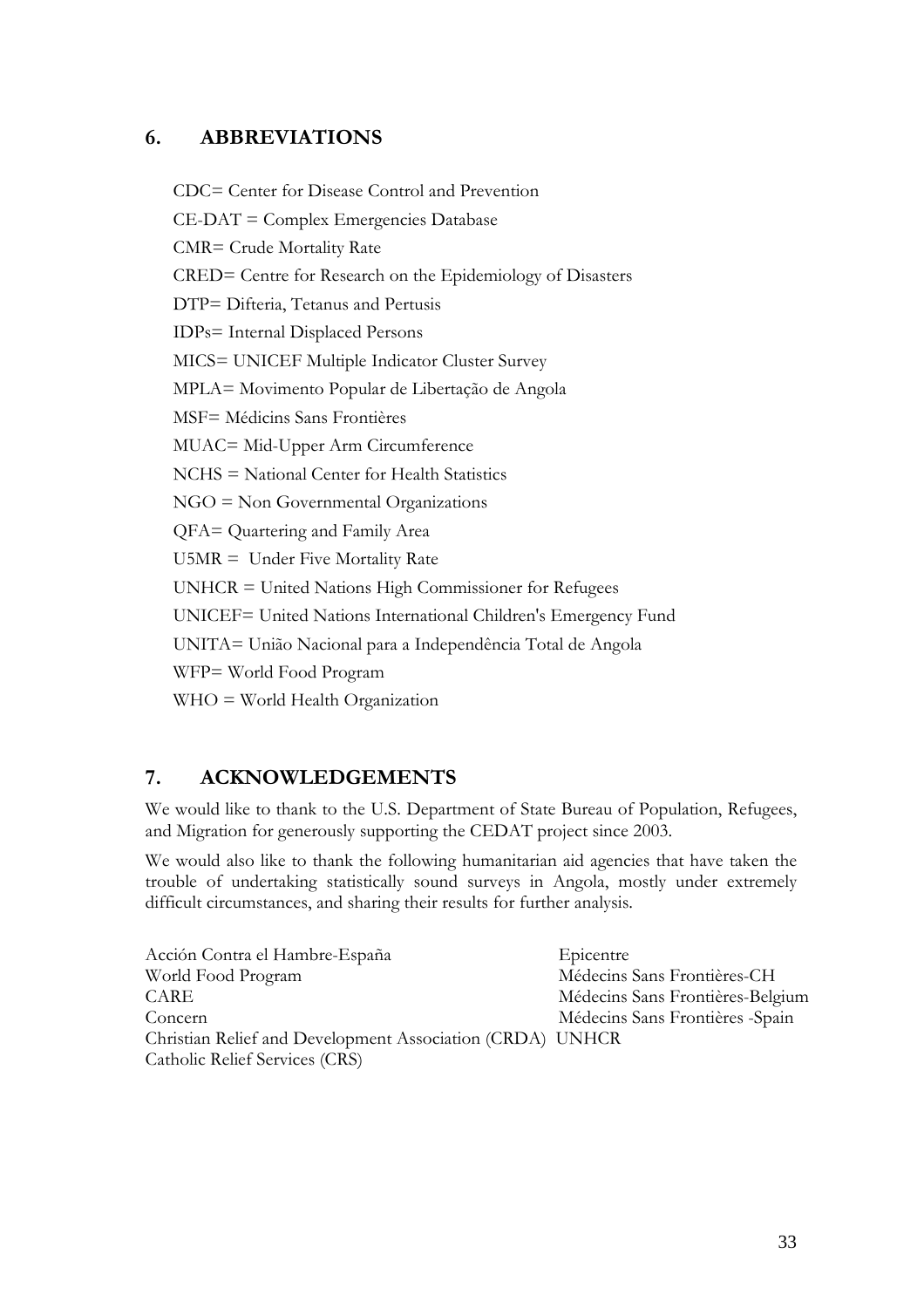# 6. ABBREVIATIONS

CDC= Center for Disease Control and Prevention CE-DAT = Complex Emergencies Database CMR= Crude Mortality Rate CRED= Centre for Research on the Epidemiology of Disasters DTP= Difteria, Tetanus and Pertusis IDPs= Internal Displaced Persons MICS= UNICEF Multiple Indicator Cluster Survey MPLA= Movimento Popular de Libertação de Angola MSF= Médicins Sans Frontières MUAC= Mid-Upper Arm Circumference NCHS = National Center for Health Statistics NGO = Non Governmental Organizations QFA= Quartering and Family Area U5MR = Under Five Mortality Rate UNHCR = United Nations High Commissioner for Refugees UNICEF= United Nations International Children's Emergency Fund UNITA= União Nacional para a Independência Total de Angola WFP= World Food Program WHO = World Health Organization

# 7. ACKNOWLEDGEMENTS

We would like to thank to the U.S. Department of State Bureau of Population, Refugees, and Migration for generously supporting the CEDAT project since 2003.

We would also like to thank the following humanitarian aid agencies that have taken the trouble of undertaking statistically sound surveys in Angola, mostly under extremely difficult circumstances, and sharing their results for further analysis.

| Médecins Sans Frontières-CH      |
|----------------------------------|
| Médecins Sans Frontières-Belgium |
| Médecins Sans Frontières - Spain |
|                                  |
|                                  |
|                                  |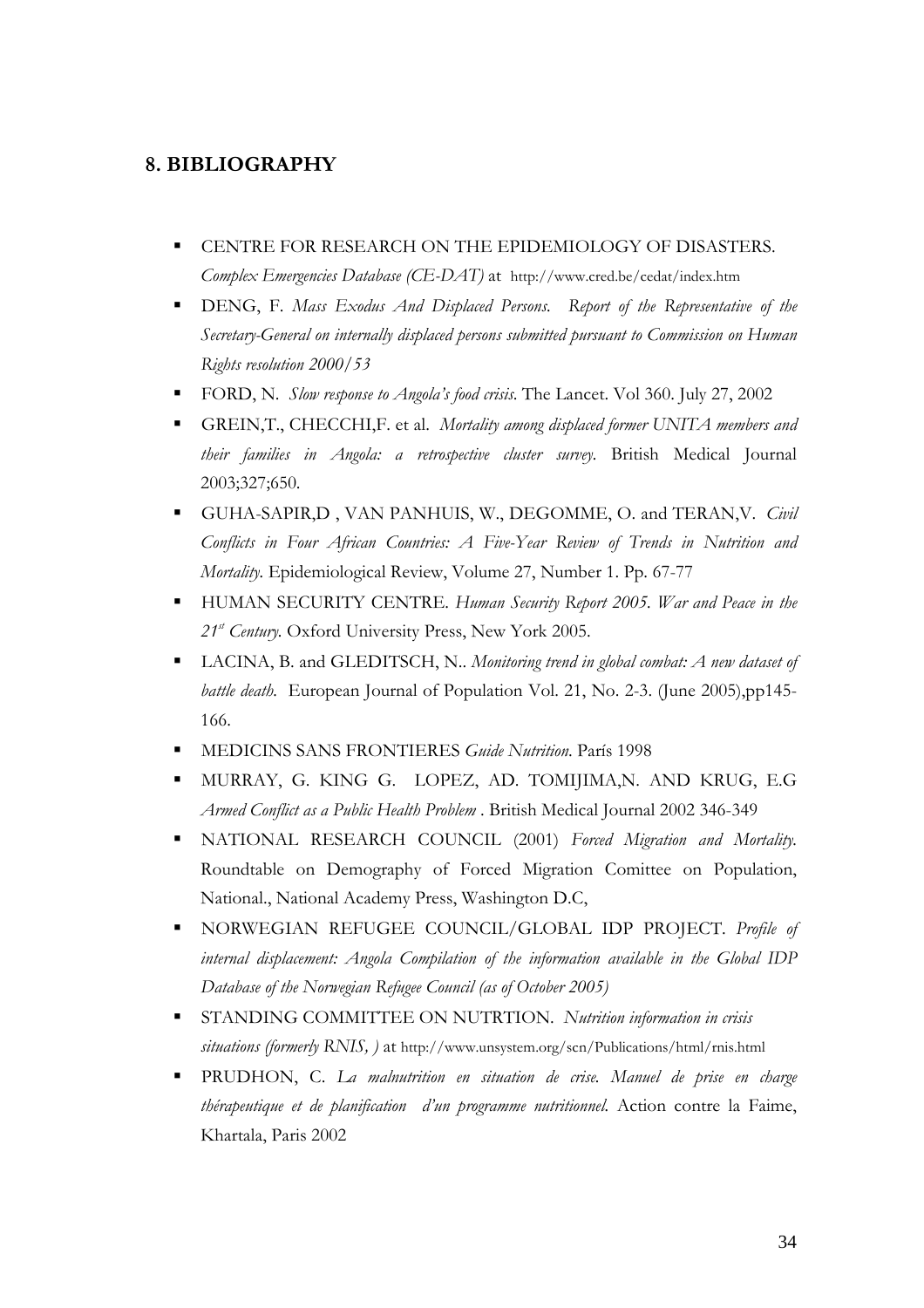### 8. BIBLIOGRAPHY

- $\blacksquare$  CENTRE FOR RESEARCH ON THE EPIDEMIOLOGY OF DISASTERS. Complex Emergencies Database (CE-DAT) at http://www.cred.be/cedat/index.htm
- **DENG, F. Mass Exodus And Displaced Persons.** Report of the Representative of the Secretary-General on internally displaced persons submitted pursuant to Commission on Human Rights resolution 2000/53
- FORD, N. Slow response to Angola's food crisis. The Lancet. Vol 360. July 27, 2002
- **-** GREIN, T., CHECCHI, F. et al. Mortality among displaced former UNITA members and their families in Angola: a retrospective cluster survey. British Medical Journal 2003;327;650.
- GUHA-SAPIR,D, VAN PANHUIS, W., DEGOMME, O. and TERAN, V. Civil Conflicts in Four African Countries: A Five-Year Review of Trends in Nutrition and Mortality. Epidemiological Review, Volume 27, Number 1. Pp. 67-77
- HUMAN SECURITY CENTRE. Human Security Report 2005. War and Peace in the  $21^{st}$  Century. Oxford University Press, New York 2005.
- **LACINA, B. and GLEDITSCH, N.. Monitoring trend in global combat: A new dataset of** battle death. European Journal of Population Vol. 21, No. 2-3. (June 2005),pp145-166.
- -MEDICINS SANS FRONTIERES Guide Nutrition. París 1998
- - MURRAY, G. KING G. LOPEZ, AD. TOMIJIMA,N. AND KRUG, E.G Armed Conflict as a Public Health Problem . British Medical Journal 2002 346-349
- NATIONAL RESEARCH COUNCIL (2001) Forced Migration and Mortality. Roundtable on Demography of Forced Migration Comittee on Population, National., National Academy Press, Washington D.C,
- **-** NORWEGIAN REFUGEE COUNCIL/GLOBAL IDP PROJECT. Profile of internal displacement: Angola Compilation of the information available in the Global IDP Database of the Norwegian Refugee Council (as of October 2005)
- **STANDING COMMITTEE ON NUTRTION.** Nutrition information in crisis situations (formerly RNIS, ) at http://www.unsystem.org/scn/Publications/html/rnis.html
- **-** PRUDHON, C. La malnutrition en situation de crise. Manuel de prise en charge thérapeutique et de planification d'un programme nutritionnel. Action contre la Faime, Khartala, Paris 2002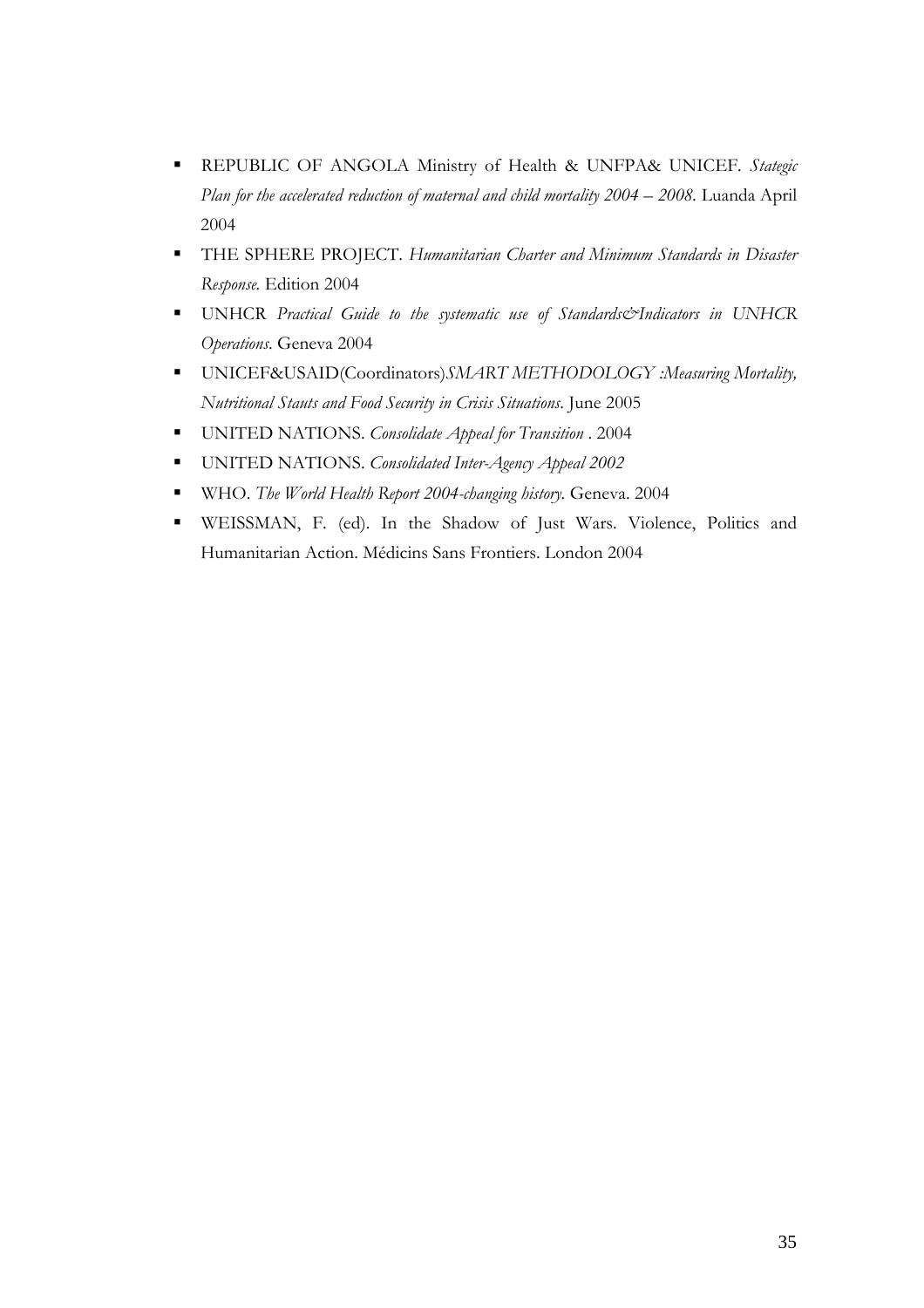- REPUBLIC OF ANGOLA Ministry of Health & UNFPA& UNICEF. Stategic Plan for the accelerated reduction of maternal and child mortality 2004 – 2008. Luanda April 2004
- **THE SPHERE PROJECT.** Humanitarian Charter and Minimum Standards in Disaster Response. Edition 2004
- UNHCR Practical Guide to the systematic use of Standards&Indicators in UNHCR Operations. Geneva 2004
- UNICEF&USAID(Coordinators)SMART METHODOLOGY :Measuring Mortality, Nutritional Stauts and Food Security in Crisis Situations. June 2005
- UNITED NATIONS. Consolidate Appeal for Transition . 2004
- UNITED NATIONS. Consolidated Inter-Agency Appeal 2002
- WHO. The World Health Report 2004-changing history. Geneva. 2004
- WEISSMAN, F. (ed). In the Shadow of Just Wars. Violence, Politics and Humanitarian Action. Médicins Sans Frontiers. London 2004